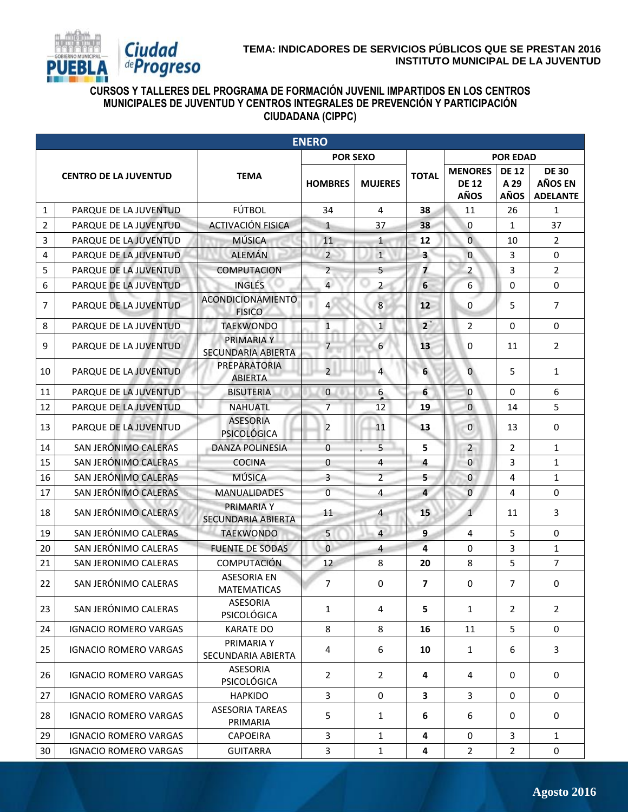

## **CURSOS Y TALLERES DEL PROGRAMA DE FORMACIÓN JUVENIL IMPARTIDOS EN LOS CENTROS MUNICIPALES DE JUVENTUD Y CENTROS INTEGRALES DE PREVENCIÓN Y PARTICIPACIÓN CIUDADANA (CIPPC)**

|                | <b>ENERO</b>                 |                                           |                 |                         |                         |                                               |                                     |                                                   |  |
|----------------|------------------------------|-------------------------------------------|-----------------|-------------------------|-------------------------|-----------------------------------------------|-------------------------------------|---------------------------------------------------|--|
|                |                              |                                           | <b>POR SEXO</b> |                         |                         |                                               | <b>POR EDAD</b>                     |                                                   |  |
|                | <b>CENTRO DE LA JUVENTUD</b> | <b>TEMA</b>                               | <b>HOMBRES</b>  | <b>MUJERES</b>          | <b>TOTAL</b>            | <b>MENORES</b><br><b>DE 12</b><br><b>AÑOS</b> | <b>DE 12</b><br>A 29<br><b>AÑOS</b> | <b>DE 30</b><br><b>AÑOS EN</b><br><b>ADELANTE</b> |  |
| $\mathbf{1}$   | PARQUE DE LA JUVENTUD        | FÚTBOL                                    | 34              | 4                       | 38                      | 11                                            | 26                                  | $\mathbf{1}$                                      |  |
| $\overline{2}$ | PARQUE DE LA JUVENTUD        | <b>ACTIVACIÓN FISICA</b>                  | $\mathbf{1}$    | 37                      | 38                      | 0                                             | $\mathbf{1}$                        | 37                                                |  |
| $\overline{3}$ | PARQUE DE LA JUVENTUD        | <b>MÚSICA</b>                             | 11              | $\mathbf{1}$            | 12                      | $\overline{0}$                                | 10                                  | $\overline{2}$                                    |  |
| 4              | PARQUE DE LA JUVENTUD        | <b>ALEMÁN</b>                             | $\overline{2}$  | $\mathbf{1}$            | $\overline{\mathbf{3}}$ | $\overline{0}$                                | 3                                   | $\Omega$                                          |  |
| 5              | PARQUE DE LA JUVENTUD        | <b>COMPUTACION</b>                        | $\overline{2}$  | 5                       | $\overline{\mathbf{z}}$ | $\overline{a}$                                | 3                                   | $\overline{2}$                                    |  |
| 6              | PARQUE DE LA JUVENTUD        | <b>INGLÉS</b>                             | $\overline{4}$  | $\overline{2}$          | 6                       | 6                                             | $\Omega$                            | $\Omega$                                          |  |
| 7              | PARQUE DE LA JUVENTUD        | <b>ACONDICIONAMIENTO</b><br><b>FISICO</b> | $\overline{4}$  | 8                       | 12                      | $\mathbf 0$                                   | 5                                   | $\overline{7}$                                    |  |
| 8              | PARQUE DE LA JUVENTUD        | <b>TAEKWONDO</b>                          | $\mathbf{1}$    | $\mathbf{1}$            | $2^{\degree}$           | $\overline{2}$                                | 0                                   | $\mathbf 0$                                       |  |
| 9              | PARQUE DE LA JUVENTUD        | PRIMARIA Y<br>SECUNDARIA ABIERTA          | 7               | 6                       | 13                      | 0                                             | 11                                  | $\overline{2}$                                    |  |
| 10             | PARQUE DE LA JUVENTUD        | PREPARATORIA<br><b>ABIERTA</b>            | 2 <sup>1</sup>  | $\overline{4}$          | 6                       | $\overline{0}$                                | 5                                   | $\mathbf{1}$                                      |  |
| 11             | PARQUE DE LA JUVENTUD        | <b>BISUTERIA</b>                          | $\mathbf 0$     | 6                       | 6                       | $\overline{0}$                                | $\Omega$                            | 6                                                 |  |
| 12             | PARQUE DE LA JUVENTUD        | <b>NAHUATL</b>                            | $\overline{7}$  | 12                      | 19                      | $\overline{0}$                                | 14                                  | 5                                                 |  |
| 13             | PARQUE DE LA JUVENTUD        | <b>ASESORIA</b><br><b>PSICOLÓGICA</b>     | $\overline{2}$  | 11                      | 13                      | $\mathbf{0}$                                  | 13                                  | $\mathbf 0$                                       |  |
| 14             | SAN JERÓNIMO CALERAS         | <b>DANZA POLINESIA</b>                    | 0               | 5                       | 5                       | $\overline{2}$                                | $\overline{2}$                      | $\mathbf{1}$                                      |  |
| 15             | SAN JERÓNIMO CALERAS         | <b>COCINA</b>                             | 0               | $\overline{4}$          | 4                       | 0                                             | 3                                   | $\mathbf{1}$                                      |  |
| 16             | SAN JERÓNIMO CALERAS         | <b>MÚSICA</b>                             | 3               | $\overline{2}$          | 5                       | 0                                             | 4                                   | $\mathbf{1}$                                      |  |
| 17             | SAN JERÓNIMO CALERAS         | <b>MANUALIDADES</b>                       | $\overline{0}$  | 4                       | $\overline{4}$          | $\bf 0$                                       | 4                                   | $\Omega$                                          |  |
| 18             | SAN JERÓNIMO CALERAS         | <b>PRIMARIA Y</b><br>SECUNDARIA ABIERTA   | 11              | $\overline{a}$          | 15                      | $\mathbf{1}$                                  | 11                                  | 3                                                 |  |
| 19             | SAN JERÓNIMO CALERAS         | <b>TAEKWONDO</b>                          | 5               | $\overline{\mathbf{4}}$ | $\overline{9}$          | 4                                             | 5                                   | $\mathbf 0$                                       |  |
| 20             | SAN JERÓNIMO CALERAS         | <b>FUENTE DE SODAS</b>                    | $\mathbf{0}$    | $\overline{4}$          | 4                       | $\Omega$                                      | 3                                   | $\mathbf{1}$                                      |  |
| 21             | SAN JERONIMO CALERAS         | <b>COMPUTACIÓN</b>                        | 12              | 8                       | 20                      | 8                                             | 5                                   | $\overline{7}$                                    |  |
| 22             | SAN JERÓNIMO CALERAS         | <b>ASESORIA EN</b><br><b>MATEMATICAS</b>  | 7               | $\mathbf 0$             | 7                       | 0                                             | $\overline{7}$                      | $\mathbf 0$                                       |  |
| 23             | SAN JERÓNIMO CALERAS         | ASESORIA<br><b>PSICOLÓGICA</b>            | 1               | 4                       | 5                       | 1                                             | 2                                   | $\overline{2}$                                    |  |
| 24             | <b>IGNACIO ROMERO VARGAS</b> | <b>KARATE DO</b>                          | 8               | 8                       | 16                      | 11                                            | 5                                   | $\mathbf{0}$                                      |  |
| 25             | <b>IGNACIO ROMERO VARGAS</b> | PRIMARIA Y<br>SECUNDARIA ABIERTA          | 4               | 6                       | 10                      | $\mathbf{1}$                                  | 6                                   | 3                                                 |  |
| 26             | <b>IGNACIO ROMERO VARGAS</b> | ASESORIA<br><b>PSICOLÓGICA</b>            | $\overline{2}$  | $\overline{2}$          | 4                       | 4                                             | 0                                   | $\mathbf 0$                                       |  |
| 27             | <b>IGNACIO ROMERO VARGAS</b> | <b>HAPKIDO</b>                            | 3               | 0                       | 3                       | 3                                             | $\mathbf 0$                         | 0                                                 |  |
| 28             | <b>IGNACIO ROMERO VARGAS</b> | <b>ASESORIA TAREAS</b><br>PRIMARIA        | 5               | $\mathbf{1}$            | 6                       | 6                                             | 0                                   | $\mathbf 0$                                       |  |
| 29             | <b>IGNACIO ROMERO VARGAS</b> | <b>CAPOEIRA</b>                           | 3               | $\mathbf{1}$            | 4                       | 0                                             | 3                                   | $\mathbf{1}$                                      |  |
| 30             | <b>IGNACIO ROMERO VARGAS</b> | <b>GUITARRA</b>                           | 3               | $\mathbf{1}$            | 4                       | $\overline{2}$                                | $\overline{2}$                      | 0                                                 |  |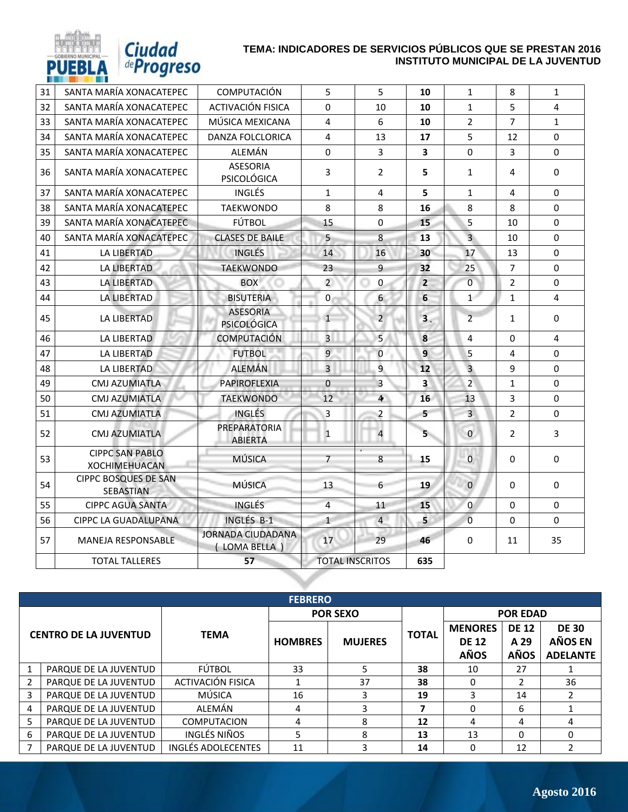| 31 | SANTA MARÍA XONACATEPEC                        | <b>COMPUTACIÓN</b>                       | 5                      | 5                    | 10                      | $\mathbf{1}$   | 8              | $\mathbf{1}$ |
|----|------------------------------------------------|------------------------------------------|------------------------|----------------------|-------------------------|----------------|----------------|--------------|
| 32 | SANTA MARÍA XONACATEPEC                        | ACTIVACIÓN FISICA                        | $\Omega$               | 10                   | 10                      | $\mathbf{1}$   | 5              | 4            |
| 33 | SANTA MARÍA XONACATEPEC                        | MÚSICA MEXICANA                          | $\overline{4}$         | 6                    | 10                      | $\overline{2}$ | $\overline{7}$ | $\mathbf{1}$ |
| 34 | SANTA MARÍA XONACATEPEC                        | <b>DANZA FOLCLORICA</b>                  | $\overline{4}$         | 13                   | 17                      | 5              | 12             | $\Omega$     |
| 35 | SANTA MARÍA XONACATEPEC                        | ALEMÁN                                   | $\mathbf{0}$           | $\overline{3}$       | $\overline{\mathbf{3}}$ | $\Omega$       | $\overline{3}$ | $\Omega$     |
| 36 | SANTA MARÍA XONACATEPEC                        | <b>ASESORIA</b><br>PSICOLÓGICA           | 3                      | $\overline{2}$       | 5                       | $\mathbf{1}$   | 4              | $\Omega$     |
| 37 | SANTA MARÍA XONACATEPEC                        | <b>INGLÉS</b>                            | $\mathbf{1}$           | 4                    | 5                       | $\mathbf{1}$   | 4              | $\mathbf 0$  |
| 38 | SANTA MARÍA XONACATEPEC                        | <b>TAEKWONDO</b>                         | 8                      | 8                    | 16                      | 8              | 8              | 0            |
| 39 | SANTA MARÍA XONACATEPEC                        | FÚTBOL                                   | 15                     | $\mathbf 0$          | 15                      | 5              | 10             | $\mathbf 0$  |
| 40 | SANTA MARÍA XONACATEPEC                        | <b>CLASES DE BAILE</b>                   | 5                      | 8                    | 13                      | $\overline{3}$ | 10             | $\mathbf 0$  |
| 41 | <b>LA LIBERTAD</b>                             | <b>INGLÉS</b>                            | 14                     | 16                   | 30                      | 17             | 13             | $\Omega$     |
| 42 | <b>LA LIBERTAD</b>                             | <b>TAEKWONDO</b>                         | 23                     | $\overline{9}$       | 32                      | 25             | $\overline{7}$ | $\mathbf 0$  |
| 43 | <b>LA LIBERTAD</b>                             | <b>BOX</b>                               | $\overline{2}$         | $\mathbf 0$          | $\overline{2}$          | $\overline{0}$ | $\overline{2}$ | 0            |
| 44 | <b>LA LIBERTAD</b>                             | <b>BISUTERIA</b>                         | $\overline{0}$         | $6 \overline{6}$     | 6                       | $\mathbf{1}$   | $\mathbf{1}$   | 4            |
| 45 | <b>LA LIBERTAD</b>                             | <b>ASESORIA</b><br><b>PSICOLÓGICA</b>    | $\overline{1}$         | $\overline{2}$       | 3.                      | $\overline{2}$ | $\mathbf{1}$   | $\Omega$     |
| 46 | <b>LA LIBERTAD</b>                             | <b>COMPUTACIÓN</b>                       | $\overline{3}$         | 5                    | 8                       | 4              | $\Omega$       | 4            |
| 47 | LA LIBERTAD                                    | <b>FUTBOL</b>                            | $\overline{9}$         | $\mathbf{0}$         | $\overline{9}$          | 5              | 4              | $\mathbf 0$  |
| 48 | LA LIBERTAD                                    | <b>ALEMÁN</b>                            | $\overline{3}$         | 9                    | 12                      | $\overline{3}$ | 9              | $\mathbf 0$  |
| 49 | <b>CMJ AZUMIATLA</b>                           | <b>PAPIROFLEXIA</b>                      | $\mathbf 0$            | $\overline{3}$       | 3                       | $\overline{2}$ | $\mathbf{1}$   | $\Omega$     |
| 50 | <b>CMJ AZUMIATLA</b>                           | <b>TAEKWONDO</b>                         | 12                     | $\ddot{\phantom{a}}$ | 16                      | 13             | 3              | $\Omega$     |
| 51 | <b>CMJ AZUMIATLA</b>                           | <b>INGLÉS</b>                            | $\overline{3}$         | $\overline{2}$       | 5                       | $\overline{3}$ | $\overline{2}$ | $\Omega$     |
| 52 | <b>CMJ AZUMIATLA</b>                           | PREPARATORIA<br><b>ABIERTA</b>           | $\mathbf{1}$           | $\overline{4}$       | $5 -$                   | $\mathbf{0}$   | $\overline{2}$ | 3            |
| 53 | <b>CIPPC SAN PABLO</b><br><b>XOCHIMEHUACAN</b> | MÚSICA                                   | $\overline{7}$         | 8                    | 15                      | $\overline{0}$ | 0              | 0            |
| 54 | <b>CIPPC BOSQUES DE SAN</b><br>SEBASTIAN       | <b>MÚSICA</b>                            | 13                     | 6                    | 19                      | $\overline{0}$ | $\Omega$       | $\Omega$     |
| 55 | <b>CIPPC AGUA SANTA</b>                        | <b>INGLÉS</b>                            | $\overline{4}$         | 11                   | 15                      | $\overline{0}$ | $\Omega$       | $\mathbf 0$  |
| 56 | <b>CIPPC LA GUADALUPANA</b>                    | INGLÉS B-1                               | $\mathbf{1}$           | $\overline{4}$       | 5                       | $\overline{0}$ | $\Omega$       | $\Omega$     |
| 57 | <b>MANEJA RESPONSABLE</b>                      | <b>JORNADA CIUDADANA</b><br>(LOMA BELLA) | 17                     | 29                   | 46                      | 0              | 11             | 35           |
|    | <b>TOTAL TALLERES</b>                          | 57                                       | <b>TOTAL INSCRITOS</b> |                      | 635                     |                |                |              |

*Ciudad*<br>*<i>deProgreso* 

PUE

|                              | <b>FEBRERO</b>        |                    |                |                 |              |                |                                                                               |                 |  |
|------------------------------|-----------------------|--------------------|----------------|-----------------|--------------|----------------|-------------------------------------------------------------------------------|-----------------|--|
|                              |                       |                    |                | <b>POR SEXO</b> |              |                |                                                                               |                 |  |
| <b>CENTRO DE LA JUVENTUD</b> |                       | <b>TEMA</b>        |                |                 | <b>TOTAL</b> | <b>MENORES</b> | <b>DE 12</b>                                                                  | <b>DE 30</b>    |  |
|                              |                       |                    | <b>HOMBRES</b> | <b>MUJERES</b>  |              | <b>DE 12</b>   | <b>POR EDAD</b><br>A 29<br><b>AÑOS</b><br>27<br>2<br>14<br>6<br>4<br>$\Omega$ | AÑOS EN         |  |
|                              |                       |                    |                |                 |              | <b>AÑOS</b>    |                                                                               | <b>ADELANTE</b> |  |
|                              | PARQUE DE LA JUVENTUD | FÚTBOL             | 33             | 5               | 38           | 10             |                                                                               |                 |  |
| 2                            | PARQUE DE LA JUVENTUD | ACTIVACIÓN FISICA  |                | 37              | 38           | 0              |                                                                               | 36              |  |
| 3                            | PARQUE DE LA JUVENTUD | MÚSICA             | 16             | 3               | 19           | 3              |                                                                               |                 |  |
| 4                            | PARQUE DE LA JUVENTUD | ALEMÁN             | 4              | 3               |              | 0              |                                                                               |                 |  |
| 5.                           | PARQUE DE LA JUVENTUD | <b>COMPUTACION</b> | 4              | 8               | 12           | 4              |                                                                               |                 |  |
| 6                            | PARQUE DE LA JUVENTUD | INGLÉS NIÑOS       | 5.             | 8               | 13           | 13             |                                                                               | 0               |  |
|                              | PARQUE DE LA JUVENTUD | INGLÉS ADOLECENTES | 11             | 3               | 14           | 0              | 12                                                                            |                 |  |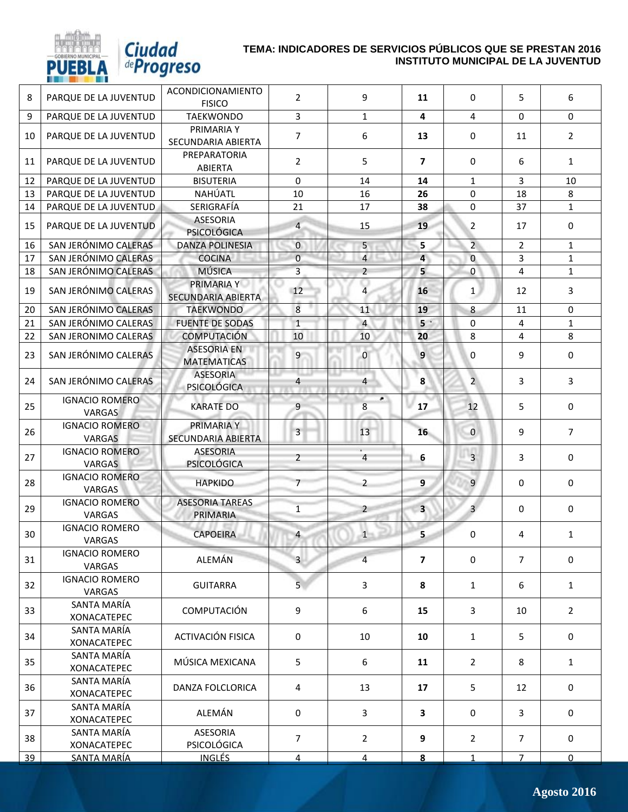

# *Ciudad*<br>*<i>deProgreso*

| 8  | PARQUE DE LA JUVENTUD                  | <b>ACONDICIONAMIENTO</b><br><b>FISICO</b> | $\overline{2}$          | 9              | 11                      | $\mathbf 0$    | 5              | 6              |
|----|----------------------------------------|-------------------------------------------|-------------------------|----------------|-------------------------|----------------|----------------|----------------|
| 9  | PARQUE DE LA JUVENTUD                  | <b>TAEKWONDO</b>                          | $\overline{3}$          | $\mathbf{1}$   | $\overline{\mathbf{4}}$ | 4              | $\Omega$       | 0              |
| 10 | PARQUE DE LA JUVENTUD                  | PRIMARIA Y<br>SECUNDARIA ABIERTA          | $\overline{7}$          | 6              | 13                      | $\mathbf 0$    | 11             | $\overline{2}$ |
| 11 | PARQUE DE LA JUVENTUD                  | PREPARATORIA<br>ABIERTA                   | $\overline{2}$          | 5              | $\overline{7}$          | $\mathbf 0$    | 6              | $\mathbf{1}$   |
| 12 | PARQUE DE LA JUVENTUD                  | <b>BISUTERIA</b>                          | 0                       | 14             | 14                      | $\mathbf{1}$   | 3              | 10             |
| 13 | PARQUE DE LA JUVENTUD                  | NAHÚATL                                   | 10                      | 16             | 26                      | $\mathbf 0$    | 18             | 8              |
| 14 | PARQUE DE LA JUVENTUD                  | SERIGRAFÍA                                | 21                      | 17             | 38                      | $\mathbf 0$    | 37             | $\mathbf{1}$   |
| 15 | PARQUE DE LA JUVENTUD                  | <b>ASESORIA</b><br><b>PSICOLÓGICA</b>     | $\overline{4}$          | 15             | 19                      | $\overline{2}$ | 17             | $\mathbf 0$    |
| 16 | SAN JERÓNIMO CALERAS                   | <b>DANZA POLINESIA</b>                    | $\overline{0}$          | 5              | 5                       | $\overline{2}$ | $\overline{2}$ | $\mathbf{1}$   |
| 17 | SAN JERÓNIMO CALERAS                   | <b>COCINA</b>                             | $\overline{0}$          | $\overline{4}$ | $\overline{a}$          | $\bf{0}$       | 3              | $\mathbf{1}$   |
| 18 | SAN JERÓNIMO CALERAS                   | <b>MÚSICA</b>                             | $\overline{3}$          | $\overline{2}$ | 5                       | $\mathbf 0$    | 4              | $\mathbf{1}$   |
| 19 | SAN JERÓNIMO CALERAS                   | PRIMARIA Y<br>SECUNDARIA ABIERTA          | 12                      | $\overline{4}$ | 16                      | 1              | 12             | 3              |
| 20 | SAN JERÓNIMO CALERAS                   | <b>TAEKWONDO</b>                          | 8                       | 11             | 19                      | 8              | 11             | 0              |
| 21 | SAN JERÓNIMO CALERAS                   | <b>FUENTE DE SODAS</b>                    | $\mathbf{1}$            | $\overline{4}$ | 5 <sup>o</sup>          | $\mathbf 0$    | 4              | $\mathbf{1}$   |
| 22 | SAN JERONIMO CALERAS                   | <b>COMPUTACIÓN</b>                        | 10                      | 10             | 20                      | 8              | 4              | 8              |
| 23 | SAN JERÓNIMO CALERAS                   | <b>ASESORIA EN</b><br><b>MATEMATICAS</b>  | 9                       | $\overline{0}$ | 9                       | $\mathbf 0$    | 9              | 0              |
| 24 | SAN JERÓNIMO CALERAS                   | <b>ASESORIA</b><br><b>PSICOLÓGICA</b>     | 4                       | $\overline{4}$ | 8                       | $\overline{2}$ | 3              | 3              |
| 25 | <b>IGNACIO ROMERO</b><br><b>VARGAS</b> | <b>KARATE DO</b>                          | 9                       | ٠<br>8         | 17                      | 12             | 5              | 0              |
| 26 | <b>IGNACIO ROMERO</b><br><b>VARGAS</b> | PRIMARIA Y<br>SECUNDARIA ABIERTA          | $\overline{\mathbf{3}}$ | 13             | 16                      | $\mathbf{0}$   | 9              | $\overline{7}$ |
| 27 | <b>IGNACIO ROMERO</b><br><b>VARGAS</b> | <b>ASESORIA</b><br><b>PSICOLÓGICA</b>     | $\overline{2}$          | $\overline{4}$ | 6                       | $\overline{3}$ | 3              | $\mathbf 0$    |
| 28 | <b>IGNACIO ROMERO</b><br><b>VARGAS</b> | <b>HAPKIDO</b>                            | $\overline{7}$          | $\overline{2}$ | 9 <sup>°</sup>          | $\overline{9}$ | $\mathbf{0}$   | $\mathbf 0$    |
| 29 | <b>IGNACIO ROMERO</b><br>VARGAS        | <b>ASESORIA TAREAS</b><br>PRIMARIA        | $\overline{1}$          | $\overline{2}$ | $\overline{\mathbf{3}}$ | $\overline{3}$ | $\mathbf 0$    | $\mathbf 0$    |
| 30 | <b>IGNACIO ROMERO</b><br>VARGAS        | <b>CAPOEIRA</b>                           | $\overline{4}$          | $\mathbf{1}$   | 5                       | 0              | 4              | $\mathbf{1}$   |
| 31 | <b>IGNACIO ROMERO</b><br>VARGAS        | ALEMÁN                                    | $\overline{\mathbf{3}}$ | $\overline{4}$ | $\overline{\mathbf{z}}$ | $\mathbf 0$    | $\overline{7}$ | $\mathbf 0$    |
| 32 | <b>IGNACIO ROMERO</b><br>VARGAS        | <b>GUITARRA</b>                           | 5 <sub>1</sub>          | 3              | 8                       | $\mathbf{1}$   | 6              | $\mathbf{1}$   |
| 33 | SANTA MARÍA<br><b>XONACATEPEC</b>      | COMPUTACIÓN                               | 9                       | 6              | 15                      | 3              | 10             | $\overline{2}$ |
| 34 | SANTA MARÍA<br><b>XONACATEPEC</b>      | ACTIVACIÓN FISICA                         | 0                       | 10             | 10                      | $\mathbf{1}$   | 5              | $\mathbf 0$    |
| 35 | SANTA MARÍA<br><b>XONACATEPEC</b>      | MÚSICA MEXICANA                           | 5                       | 6              | 11                      | $\overline{2}$ | 8              | $\mathbf{1}$   |
| 36 | SANTA MARÍA<br><b>XONACATEPEC</b>      | DANZA FOLCLORICA                          | 4                       | 13             | 17                      | 5              | 12             | 0              |
| 37 | SANTA MARÍA<br><b>XONACATEPEC</b>      | ALEMÁN                                    | 0                       | 3              | 3                       | $\mathbf 0$    | 3              | 0              |
| 38 | SANTA MARÍA<br><b>XONACATEPEC</b>      | <b>ASESORIA</b><br>PSICOLÓGICA            | $\overline{7}$          | $\overline{2}$ | 9                       | $\overline{2}$ | $\overline{7}$ | 0              |
| 39 | <u>SANTA MARÍA</u>                     | <b>INGLÉS</b>                             | $\overline{4}$          | $\overline{4}$ | 8                       | $\mathbf{1}$   | $\overline{7}$ | $\overline{0}$ |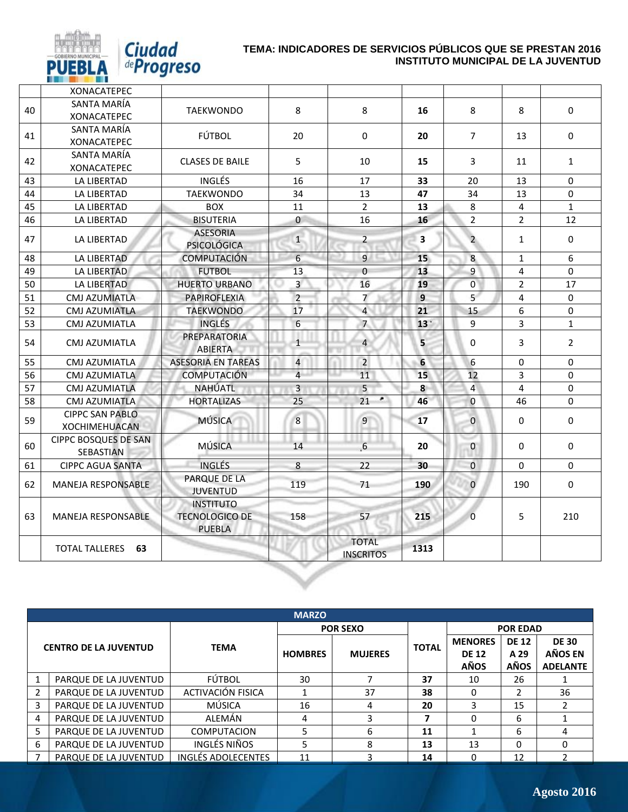

PU

|    | <b>XONACATEPEC</b>                             |                                                            |                |                                  |                         |                |                |                |
|----|------------------------------------------------|------------------------------------------------------------|----------------|----------------------------------|-------------------------|----------------|----------------|----------------|
| 40 | SANTA MARÍA                                    | <b>TAEKWONDO</b>                                           | 8              | 8                                | 16                      | 8              | 8              | 0              |
|    | <b>XONACATEPEC</b>                             |                                                            |                |                                  |                         |                |                |                |
| 41 | SANTA MARÍA                                    | FÚTBOL                                                     | 20             | 0                                | 20                      | $\overline{7}$ | 13             | 0              |
|    | XONACATEPEC                                    |                                                            |                |                                  |                         |                |                |                |
| 42 | SANTA MARÍA                                    | <b>CLASES DE BAILE</b>                                     | 5              | 10                               | 15                      | 3              | 11             | $\mathbf{1}$   |
| 43 | <b>XONACATEPEC</b><br>LA LIBERTAD              | <b>INGLÉS</b>                                              | 16             | 17                               | 33                      | 20             | 13             | 0              |
| 44 | LA LIBERTAD                                    | <b>TAEKWONDO</b>                                           | 34             | 13                               | 47                      | 34             | 13             | $\Omega$       |
| 45 | LA LIBERTAD                                    | <b>BOX</b>                                                 | 11             | $\overline{2}$                   | 13                      | 8              | 4              | $\mathbf{1}$   |
| 46 | LA LIBERTAD                                    | <b>BISUTERIA</b>                                           | $\mathbf{0}$   | 16                               | 16                      | $\overline{2}$ | $\overline{2}$ | 12             |
|    |                                                | <b>ASESORIA</b>                                            |                |                                  |                         |                |                |                |
| 47 | <b>LA LIBERTAD</b>                             | <b>PSICOLÓGICA</b>                                         | $\mathbf{1}$   | $\overline{2}$                   | $\overline{\mathbf{3}}$ | $\overline{2}$ | $\mathbf{1}$   | $\Omega$       |
| 48 | LA LIBERTAD                                    | <b>COMPUTACIÓN</b>                                         | 6              | 9                                | 15                      | 8              | 1              | 6              |
| 49 | LA LIBERTAD                                    | <b>FUTBOL</b>                                              | 13             | $\overline{0}$                   | 13                      | $\overline{9}$ | $\overline{4}$ | $\Omega$       |
| 50 | LA LIBERTAD                                    | <b>HUERTO URBANO</b>                                       | $\overline{3}$ | 16                               | 19                      | $\overline{0}$ | $\overline{2}$ | 17             |
| 51 | <b>CMJ AZUMIATLA</b>                           | <b>PAPIROFLEXIA</b>                                        | $\overline{2}$ | $\overline{7}$                   | 9                       | 5 <sup>1</sup> | $\overline{4}$ | 0              |
| 52 | <b>CMJ AZUMIATLA</b>                           | <b>TAEKWONDO</b>                                           | 17             | $\overline{4}$                   | 21                      | 15             | 6              | 0              |
| 53 | <b>CMJ AZUMIATLA</b>                           | <b>INGLÉS</b>                                              | 6              | $\overline{7}$                   | 13 <sup>1</sup>         | 9              | 3              | $\mathbf{1}$   |
| 54 | CMJ AZUMIATLA                                  | PREPARATORIA<br><b>ABIERTA</b>                             | $\mathbf{1}$   | 4                                | 5                       | 0              | 3              | $\overline{2}$ |
| 55 | CMJ AZUMIATLA                                  | <b>ASESORIA EN TAREAS</b>                                  | $\overline{4}$ | $\overline{2}$                   | $6\phantom{a}$          | 6              | $\mathbf 0$    | 0              |
| 56 | CMJ AZUMIATLA                                  | <b>COMPUTACIÓN</b>                                         | $\overline{4}$ | 11                               | 15                      | 12             | 3              | $\Omega$       |
| 57 | <b>CMJ AZUMIATLA</b>                           | NAHÚATL                                                    | $\overline{3}$ | 5                                | 8                       | $\overline{4}$ | $\overline{4}$ | 0              |
| 58 | CMJ AZUMIATLA                                  | <b>HORTALIZAS</b>                                          | 25             | ٠<br>21                          | 46                      | $\mathbf{0}$   | 46             | 0              |
| 59 | <b>CIPPC SAN PABLO</b><br><b>XOCHIMEHUACAN</b> | <b>MÚSICA</b>                                              | 8              | 9                                | 17                      | $\mathbf{0}$   | 0              | 0              |
| 60 | <b>CIPPC BOSQUES DE SAN</b><br>SEBASTIAN       | <b>MÚSICA</b>                                              | 14             | $6 \overline{6}$                 | 20                      | $\mathbf 0$    | 0              | $\mathbf 0$    |
| 61 | <b>CIPPC AGUA SANTA</b>                        | <b>INGLÉS</b>                                              | 8              | 22                               | 30                      | $\mathbf{0}$   | $\mathbf 0$    | $\Omega$       |
| 62 | <b>MANEJA RESPONSABLE</b>                      | PARQUE DE LA<br><b>JUVENTUD</b>                            | 119            | 71                               | 190                     | $\overline{0}$ | 190            | 0              |
| 63 | <b>MANEJA RESPONSABLE</b>                      | <b>INSTITUTO</b><br><b>TECNOLOGICO DE</b><br><b>PUEBLA</b> | 158            | 57                               | 215                     | $\mathbf{0}$   | 5              | 210            |
|    | TOTAL TALLERES 63                              |                                                            |                | <b>TOTAL</b><br><b>INSCRITOS</b> | 1313                    |                |                |                |
|    |                                                |                                                            |                |                                  |                         |                |                |                |

|                              | <b>MARZO</b>          |                    |                |                 |              |                                               |                                     |                                                                                              |  |
|------------------------------|-----------------------|--------------------|----------------|-----------------|--------------|-----------------------------------------------|-------------------------------------|----------------------------------------------------------------------------------------------|--|
|                              |                       |                    |                | <b>POR SEXO</b> |              |                                               | <b>POR EDAD</b>                     | <b>DE 30</b><br>AÑOS EN<br><b>ADELANTE</b><br>26<br>36<br>$\mathcal{P}$<br>15<br>6<br>6<br>4 |  |
| <b>CENTRO DE LA JUVENTUD</b> |                       | <b>TEMA</b>        | <b>HOMBRES</b> | <b>MUJERES</b>  | <b>TOTAL</b> | <b>MENORES</b><br><b>DE 12</b><br><b>AÑOS</b> | <b>DE 12</b><br>A 29<br><b>AÑOS</b> |                                                                                              |  |
| 1                            | PARQUE DE LA JUVENTUD | FÚTBOL             | 30             |                 | 37           | 10                                            |                                     |                                                                                              |  |
| $\overline{2}$               | PARQUE DE LA JUVENTUD | ACTIVACIÓN FISICA  |                | 37              | 38           | 0                                             |                                     |                                                                                              |  |
| 3                            | PARQUE DE LA JUVENTUD | MÚSICA             | 16             | 4               | 20           |                                               |                                     |                                                                                              |  |
| 4                            | PARQUE DE LA JUVENTUD | ALEMÁN             | 4              |                 | ⇁            | 0                                             |                                     |                                                                                              |  |
| 5                            | PARQUE DE LA JUVENTUD | <b>COMPUTACION</b> | 5              | 6               | 11           |                                               |                                     |                                                                                              |  |
| 6                            | PARQUE DE LA JUVENTUD | INGLÉS NIÑOS       | 5              | 8               | 13           | 13                                            | $\Omega$                            |                                                                                              |  |
|                              | PARQUE DE LA JUVENTUD | INGLÉS ADOLECENTES | 11             |                 | 14           |                                               | 12                                  |                                                                                              |  |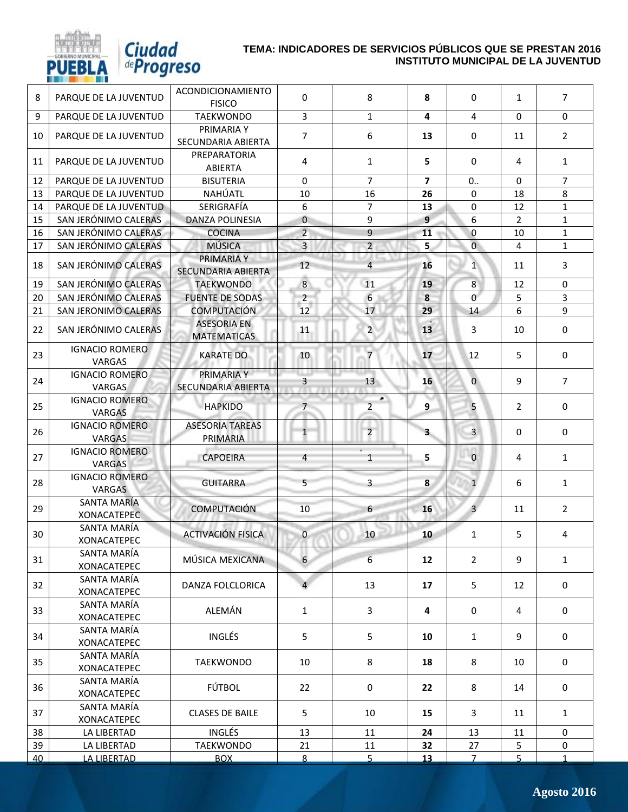

*Ciudad*<br>*<i>deProgreso* 

| 8  | PARQUE DE LA JUVENTUD                  | ACONDICIONAMIENTO<br><b>FISICO</b>       | 0               | 8                   | 8                       | 0               | $\mathbf{1}$   | $\overline{7}$ |
|----|----------------------------------------|------------------------------------------|-----------------|---------------------|-------------------------|-----------------|----------------|----------------|
| 9  | PARQUE DE LA JUVENTUD                  | <b>TAEKWONDO</b>                         | $\mathbf{3}$    | $\mathbf{1}$        | 4                       | 4               | $\Omega$       | $\Omega$       |
| 10 | PARQUE DE LA JUVENTUD                  | PRIMARIA Y<br>SECUNDARIA ABIERTA         | $\overline{7}$  | 6                   | 13                      | $\mathbf 0$     | 11             | $\overline{2}$ |
| 11 | PARQUE DE LA JUVENTUD                  | PREPARATORIA<br>ABIERTA                  | 4               | 1                   | 5                       | $\Omega$        | 4              | 1              |
| 12 | PARQUE DE LA JUVENTUD                  | <b>BISUTERIA</b>                         | $\Omega$        | $\overline{7}$      | $\overline{7}$          | 0.              | $\Omega$       | $\overline{7}$ |
| 13 | PARQUE DE LA JUVENTUD                  | NAHÚATL                                  | 10              | 16                  | 26                      | $\Omega$        | 18             | 8              |
| 14 | PARQUE DE LA JUVENTUD                  | SERIGRAFÍA                               | 6               | $\overline{7}$      | 13                      | 0               | 12             | $\mathbf{1}$   |
| 15 | SAN JERÓNIMO CALERAS                   | <b>DANZA POLINESIA</b>                   | $\overline{0}$  | 9                   | $\overline{9}$          | 6               | $\overline{2}$ | $\mathbf{1}$   |
| 16 | SAN JERÓNIMO CALERAS                   | <b>COCINA</b>                            | $\overline{a}$  | 9                   | 11                      | 0               | 10             | $\mathbf{1}$   |
| 17 | SAN JERÓNIMO CALERAS                   | <b>MÚSICA</b>                            | $\overline{3}$  | $\overline{2}$      | 5                       | $\overline{0}$  | 4              | $\mathbf{1}$   |
| 18 | SAN JERÓNIMO CALERAS                   | PRIMARIA Y<br><b>SECUNDARIA ABIERTA</b>  | 12              | $\overline{4}$      | 16                      | $1\overline{ }$ | 11             | 3              |
| 19 | SAN JERÓNIMO CALERAS                   | <b>TAEKWONDO</b>                         | $\,8\,$         | 11                  | 19                      | 8               | 12             | $\Omega$       |
| 20 | SAN JERÓNIMO CALERAS                   | <b>FUENTE DE SODAS</b>                   | $\overline{2}$  | 6                   | 8                       | $\mathbf{0}$    | 5              | 3              |
| 21 | <b>SAN JERONIMO CALERAS</b>            | <b>COMPUTACIÓN</b>                       | 12              | 17                  | 29                      | 14              | 6              | 9              |
| 22 | SAN JERÓNIMO CALERAS                   | <b>ASESORIA EN</b><br><b>MATEMATICAS</b> | 11              | $2^{\circ}$         | 13                      | 3               | 10             | $\mathbf 0$    |
| 23 | <b>IGNACIO ROMERO</b><br>VARGAS        | <b>KARATE DO</b>                         | 10              | $\overline{7}$      | 17                      | 12              | 5              | $\mathbf 0$    |
| 24 | <b>IGNACIO ROMERO</b><br><b>VARGAS</b> | PRIMARIA Y<br><b>SECUNDARIA ABIERTA</b>  | $\overline{3}$  | 13 <sup>1</sup>     | 16                      | $\overline{0}$  | 9              | $\overline{7}$ |
| 25 | <b>IGNACIO ROMERO</b><br><b>VARGAS</b> | <b>HAPKIDO</b>                           | $7\overline{ }$ | ٠<br>$\overline{2}$ | 9                       | 5               | $\overline{2}$ | 0              |
| 26 | <b>IGNACIO ROMERO</b><br><b>VARGAS</b> | <b>ASESORIA TAREAS</b><br>PRIMARIA       | $\mathbf{1}$    | $\overline{2}$      | $\overline{\mathbf{3}}$ | $\overline{3}$  | $\Omega$       | 0              |
| 27 | <b>IGNACIO ROMERO</b><br><b>VARGAS</b> | <b>CAPOEIRA</b>                          | 4               | $\mathbf{1}$        | 5                       | $\mathbf{0}$    | 4              | $\mathbf{1}$   |
| 28 | <b>IGNACIO ROMERO</b><br><b>VARGAS</b> | <b>GUITARRA</b>                          | 5               | 3                   | 8                       | $\mathbf{1}$    | 6              | $\mathbf{1}$   |
| 29 | SANTA MARÍA<br><b>XONACATEPEC</b>      | <b>COMPUTACIÓN</b>                       | 10              | 6                   | 16                      | $\overline{3}$  | 11             | $\overline{2}$ |
| 30 | SANTA MARÍA<br><b>XONACATEPEC</b>      | <b>ACTIVACIÓN FISICA</b>                 | $\overline{0}$  | 10                  | 10                      | 1               | 5              | 4              |
| 31 | SANTA MARÍA<br><b>XONACATEPEC</b>      | MÚSICA MEXICANA                          | 6               | $6\overline{6}$     | 12                      | $\overline{2}$  | 9              | $\mathbf{1}$   |
| 32 | SANTA MARÍA<br><b>XONACATEPEC</b>      | DANZA FOLCLORICA                         | 4               | 13                  | 17                      | 5               | 12             | 0              |
| 33 | SANTA MARÍA<br><b>XONACATEPEC</b>      | ALEMÁN                                   | $\mathbf{1}$    | 3                   | 4                       | 0               | 4              | 0              |
| 34 | SANTA MARÍA<br><b>XONACATEPEC</b>      | <b>INGLÉS</b>                            | 5               | 5                   | 10                      | $\mathbf{1}$    | 9              | 0              |
| 35 | SANTA MARÍA<br><b>XONACATEPEC</b>      | TAEKWONDO                                | 10              | 8                   | 18                      | 8               | 10             | 0              |
| 36 | SANTA MARÍA<br><b>XONACATEPEC</b>      | <b>FÚTBOL</b>                            | 22              | 0                   | 22                      | 8               | 14             | $\mathbf 0$    |
| 37 | SANTA MARÍA<br><b>XONACATEPEC</b>      | <b>CLASES DE BAILE</b>                   | 5               | 10                  | 15                      | 3               | 11             | $\mathbf{1}$   |
| 38 | LA LIBERTAD                            | INGLÉS                                   | 13              | 11                  | 24                      | 13              | 11             | 0              |
| 39 | LA LIBERTAD                            | TAEKWONDO                                | 21              | 11                  | 32                      | 27              | 5              | 0              |
| 40 | LA LIBERTAD                            | <b>BOX</b>                               | 8               | 5                   | 13                      | $\overline{7}$  | 5 <sup>1</sup> | $\mathbf{1}$   |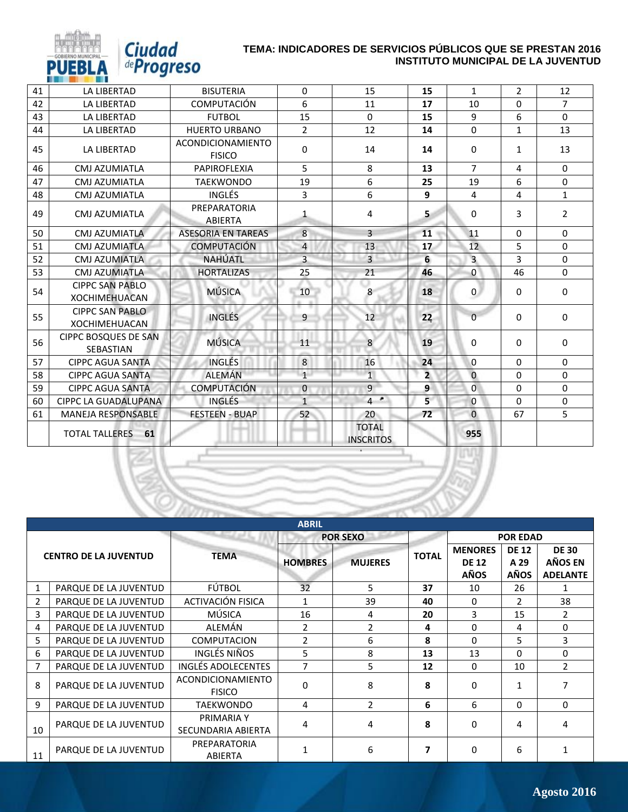| 41 | <b>LA LIBERTAD</b>                              | <b>BISUTERIA</b>                   | $\Omega$       | 15                               | 15             | $\mathbf{1}$   | $\overline{2}$ | 12             |
|----|-------------------------------------------------|------------------------------------|----------------|----------------------------------|----------------|----------------|----------------|----------------|
| 42 | <b>LA LIBERTAD</b>                              | COMPUTACIÓN                        | 6              | 11                               | 17             | 10             | $\Omega$       | $\overline{7}$ |
| 43 | <b>LA LIBERTAD</b>                              | <b>FUTBOL</b>                      | 15             | $\Omega$                         | 15             | 9              | 6              | $\Omega$       |
| 44 | <b>LA LIBERTAD</b>                              | <b>HUERTO URBANO</b>               | $\overline{2}$ | 12                               | 14             | $\Omega$       | $\mathbf{1}$   | 13             |
| 45 | LA LIBERTAD                                     | ACONDICIONAMIENTO<br><b>FISICO</b> | 0              | 14                               | 14             | $\Omega$       | 1              | 13             |
| 46 | CMJ AZUMIATLA                                   | PAPIROFLEXIA                       | 5              | 8                                | 13             | $\overline{7}$ | 4              | $\Omega$       |
| 47 | CMJ AZUMIATLA                                   | <b>TAEKWONDO</b>                   | 19             | 6                                | 25             | 19             | 6              | $\Omega$       |
| 48 | CMJ AZUMIATLA                                   | <b>INGLÉS</b>                      | 3              | 6                                | 9              | 4              | 4              | $\mathbf{1}$   |
| 49 | CMJ AZUMIATLA                                   | PREPARATORIA<br><b>ABIERTA</b>     | $\mathbf{1}$   | 4                                | 5              | $\Omega$       | 3              | $\overline{2}$ |
| 50 | CMJ AZUMIATLA                                   | <b>ASESORIA EN TAREAS</b>          | 8              | 3                                | 11             | 11             | $\Omega$       | $\Omega$       |
| 51 | CMJ AZUMIATLA                                   | <b>COMPUTACIÓN</b>                 | $\overline{4}$ | 13                               | 17             | 12             | 5              | $\Omega$       |
| 52 | CMJ AZUMIATLA                                   | <b>NAHÚATL</b>                     | $\overline{3}$ | $\overline{3}$                   | 6              | $\overline{3}$ | 3              | $\Omega$       |
| 53 | CMJ AZUMIATLA                                   | <b>HORTALIZAS</b>                  | 25             | 21                               | 46             | $\mathbf 0$    | 46             | $\Omega$       |
| 54 | <b>CIPPC SAN PABLO</b><br><b>XOCHIMEHUACAN</b>  | <b>MÚSICA</b>                      | 10             | 8                                | 18             | $\overline{0}$ | $\Omega$       | $\Omega$       |
| 55 | <b>CIPPC SAN PABLO</b><br><b>XOCHIMEHUACAN</b>  | <b>INGLÉS</b>                      | 9              | 12                               | 22             | $\Omega$       | $\Omega$       | $\Omega$       |
| 56 | <b>CIPPC BOSQUES DE SAN</b><br><b>SEBASTIAN</b> | <b>MÚSICA</b>                      | 11             | 8                                | 19             | $\Omega$       | $\Omega$       | 0              |
| 57 | <b>CIPPC AGUA SANTA</b>                         | <b>INGLÉS</b>                      | 8              | 16                               | 24             | $\Omega$       | $\Omega$       | $\mathbf{0}$   |
| 58 | <b>CIPPC AGUA SANTA</b>                         | <b>ALEMÁN</b>                      | $\mathbf{1}$   | $\overline{1}$                   | $\overline{2}$ | $\mathbf{0}$   | $\Omega$       | $\Omega$       |
| 59 | <b>CIPPC AGUA SANTA</b>                         | <b>COMPUTACIÓN</b>                 | $\mathbf{0}$   | 9                                | 9              | $\Omega$       | $\Omega$       | $\Omega$       |
| 60 | CIPPC LA GUADALUPANA                            | <b>INGLÉS</b>                      | $\mathbf{1}$   | $4$ $^{\circ}$                   | 5 <sup>1</sup> | $\mathbf{0}$   | $\Omega$       | $\mathbf{0}$   |
| 61 | <b>MANEJA RESPONSABLE</b>                       | <b>FESTEEN - BUAP</b>              | 52             | 20                               | 72             | $\Omega$       | 67             | 5              |
|    | <b>TOTAL TALLERES</b><br>61                     |                                    |                | <b>TOTAL</b><br><b>INSCRITOS</b> |                | 955            |                |                |

Ciudad<br>*deProgreso* 

PU

| <b>ABRIL</b>   |                              |                                    |                |                 |              |                                               |                              |                                            |  |
|----------------|------------------------------|------------------------------------|----------------|-----------------|--------------|-----------------------------------------------|------------------------------|--------------------------------------------|--|
|                |                              |                                    |                | <b>POR SEXO</b> |              |                                               | <b>POR EDAD</b>              |                                            |  |
|                | <b>CENTRO DE LA JUVENTUD</b> | <b>TEMA</b>                        | <b>HOMBRES</b> | <b>MUJERES</b>  | <b>TOTAL</b> | <b>MENORES</b><br><b>DE 12</b><br><b>AÑOS</b> | <b>DE 12</b><br>A 29<br>AÑOS | <b>DE 30</b><br>AÑOS EN<br><b>ADELANTE</b> |  |
|                | PARQUE DE LA JUVENTUD        | FÚTBOL                             | 32             | 5               | 37           | 10                                            | 26                           |                                            |  |
| $\overline{2}$ | PARQUE DE LA JUVENTUD        | ACTIVACIÓN FISICA                  | $\mathbf{1}$   | 39              | 40           | 0                                             | $\mathcal{P}$                | 38                                         |  |
| 3              | PARQUE DE LA JUVENTUD        | MÚSICA                             | 16             | 4               | 20           | 3                                             | 15                           | $\mathcal{L}$                              |  |
| 4              | PARQUE DE LA JUVENTUD        | ALEMÁN                             | $\overline{2}$ | 2               | 4            | $\Omega$                                      | 4                            | 0                                          |  |
| 5              | PARQUE DE LA JUVENTUD        | <b>COMPUTACION</b>                 | $\overline{2}$ | 6               | 8            | 0                                             | 5                            | 3                                          |  |
| 6              | PARQUE DE LA JUVENTUD        | INGLÉS NIÑOS                       | 5              | 8               | 13           | 13                                            | $\Omega$                     | 0                                          |  |
| 7              | PARQUE DE LA JUVENTUD        | INGLÉS ADOLECENTES                 | 7              | 5               | 12           | $\mathbf{0}$                                  | 10                           | $\mathbf{2}$                               |  |
| 8              | PARQUE DE LA JUVENTUD        | ACONDICIONAMIENTO<br><b>FISICO</b> | $\Omega$       | 8               | 8            | $\Omega$                                      | 1                            |                                            |  |
| 9              | PARQUE DE LA JUVENTUD        | <b>TAEKWONDO</b>                   | 4              | $\overline{2}$  | 6            | 6                                             | $\mathbf{0}$                 | 0                                          |  |
| 10             | PARQUE DE LA JUVENTUD        | PRIMARIA Y<br>SECUNDARIA ABIERTA   | 4              | 4               | 8            | $\Omega$                                      | 4                            | 4                                          |  |
| 11             | PARQUE DE LA JUVENTUD        | PREPARATORIA<br>ABIERTA            | 1              | 6               | 7            | $\Omega$                                      | 6                            |                                            |  |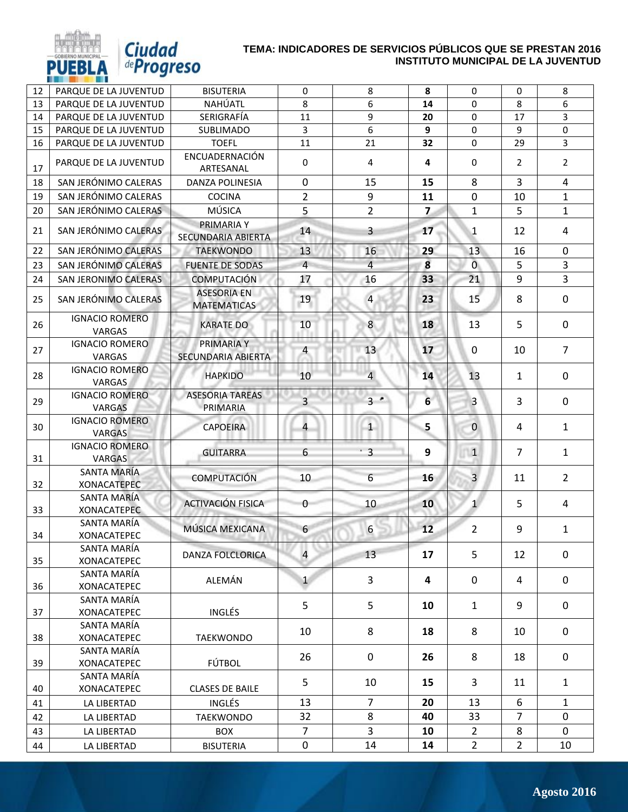

*Ciudad*<br>de *Progreso* 

| 12 | PARQUE DE LA JUVENTUD                  | <b>BISUTERIA</b>                         | 0              | 8              | 8              | 0              | 0              | 8              |
|----|----------------------------------------|------------------------------------------|----------------|----------------|----------------|----------------|----------------|----------------|
| 13 | PAROUE DE LA JUVENTUD                  | NAHÚATL                                  | 8              | 6              | 14             | 0              | 8              | 6              |
| 14 | PARQUE DE LA JUVENTUD                  | SERIGRAFÍA                               | 11             | 9              | 20             | 0              | 17             | 3              |
| 15 | PARQUE DE LA JUVENTUD                  | SUBLIMADO                                | 3              | 6              | 9              | $\mathbf 0$    | 9              | $\mathbf 0$    |
| 16 | PARQUE DE LA JUVENTUD                  | <b>TOEFL</b>                             | 11             | 21             | 32             | 0              | 29             | $\overline{3}$ |
| 17 | PARQUE DE LA JUVENTUD                  | ENCUADERNACIÓN<br>ARTESANAL              | 0              | 4              | 4              | 0              | $\overline{2}$ | $\overline{2}$ |
| 18 | SAN JERÓNIMO CALERAS                   | <b>DANZA POLINESIA</b>                   | $\mathbf 0$    | 15             | 15             | 8              | 3              | $\overline{4}$ |
| 19 | SAN JERÓNIMO CALERAS                   | <b>COCINA</b>                            | $\overline{2}$ | 9              | 11             | 0              | 10             | $\mathbf{1}$   |
| 20 | SAN JERÓNIMO CALERAS                   | MÚSICA                                   | 5              | $\overline{2}$ | $\overline{z}$ | $\mathbf{1}$   | 5              | $\mathbf{1}$   |
| 21 | SAN JERÓNIMO CALERAS                   | <b>PRIMARIA Y</b><br>SECUNDARIA ABIERTA  | 14             | 3              | 17             | 1              | 12             | 4              |
| 22 | SAN JERÓNIMO CALERAS                   | <b>TAEKWONDO</b>                         | 13             | 16             | 29             | 13             | 16             | $\mathbf 0$    |
| 23 | SAN JERÓNIMO CALERAS                   | <b>FUENTE DE SODAS</b>                   | $\overline{4}$ | $\overline{4}$ | 8              | $\overline{0}$ | 5              | $\overline{3}$ |
| 24 | SAN JERONIMO CALERAS                   | <b>COMPUTACIÓN</b>                       | 17             | 16             | 33             | 21             | 9              | $\overline{3}$ |
| 25 | SAN JERÓNIMO CALERAS                   | <b>ASESORIA EN</b><br><b>MATEMATICAS</b> | 19             | $\overline{a}$ | 23             | 15             | 8              | $\mathbf 0$    |
| 26 | <b>IGNACIO ROMERO</b><br>VARGAS        | <b>KARATE DO</b>                         | 10             | 8              | 18             | 13             | 5              | $\mathbf 0$    |
| 27 | <b>IGNACIO ROMERO</b><br><b>VARGAS</b> | PRIMARIA Y<br>SECUNDARIA ABIERTA         | 4              | 13             | 17             | $\Omega$       | 10             | $\overline{7}$ |
| 28 | <b>IGNACIO ROMERO</b><br><b>VARGAS</b> | <b>HAPKIDO</b>                           | 10             | $\overline{4}$ | 14             | 13             | $\mathbf{1}$   | $\mathbf 0$    |
| 29 | <b>IGNACIO ROMERO</b><br><b>VARGAS</b> | <b>ASESORIA TAREAS</b><br>PRIMARIA       | $\overline{3}$ | $3 -$          | $6\phantom{1}$ | $\overline{3}$ | 3              | $\mathbf 0$    |
| 30 | <b>IGNACIO ROMERO</b><br><b>VARGAS</b> | <b>CAPOEIRA</b>                          | 4              | 1              | 5              | $\pmb{0}$      | 4              | $\mathbf{1}$   |
| 31 | <b>IGNACIO ROMERO</b><br><b>VARGAS</b> | <b>GUITARRA</b>                          | 6              | $\overline{3}$ | 9              | $\mathbf{1}$   | $\overline{7}$ | $\mathbf{1}$   |
| 32 | SANTA MARÍA<br><b>XONACATEPEC</b>      | <b>COMPUTACIÓN</b>                       | 10             | 6              | 16             | $\overline{3}$ | 11             | $\overline{2}$ |
| 33 | SANTA MARÍA<br><b>XONACATEPEC</b>      | <b>ACTIVACIÓN FISICA</b>                 | 0              | 10             | 10             | $\mathbf{1}$   | 5              | 4              |
| 34 | SANTA MARÍA<br><b>XONACATEPEC</b>      | MÚSICA MEXICANA                          | 6              | 6              | 12             | $\overline{2}$ | 9              | $\mathbf{1}$   |
| 35 | SANTA MARÍA<br><b>XONACATEPEC</b>      | DANZA FOLCLORICA                         | $\overline{4}$ | 13             | 17             | 5              | 12             | $\mathbf 0$    |
| 36 | SANTA MARÍA<br><b>XONACATEPEC</b>      | ALEMÁN                                   | $\mathbf{1}$   | $\overline{3}$ | 4              | $\mathbf 0$    | 4              | $\mathbf 0$    |
| 37 | SANTA MARÍA<br><b>XONACATEPEC</b>      | <b>INGLÉS</b>                            | 5              | 5              | 10             | $\mathbf{1}$   | 9              | $\mathbf 0$    |
| 38 | SANTA MARÍA<br><b>XONACATEPEC</b>      | <b>TAEKWONDO</b>                         | 10             | 8              | 18             | 8              | 10             | 0              |
| 39 | SANTA MARÍA<br><b>XONACATEPEC</b>      | FÚTBOL                                   | 26             | $\mathbf 0$    | 26             | 8              | 18             | $\mathbf 0$    |
| 40 | SANTA MARÍA<br>XONACATEPEC             | <b>CLASES DE BAILE</b>                   | 5              | 10             | 15             | 3              | 11             | $\mathbf{1}$   |
| 41 | LA LIBERTAD                            | <b>INGLÉS</b>                            | 13             | $\overline{7}$ | 20             | 13             | 6              | $\mathbf{1}$   |
| 42 | LA LIBERTAD                            | <b>TAEKWONDO</b>                         | 32             | 8              | 40             | 33             | $\overline{7}$ | $\mathbf 0$    |
| 43 | LA LIBERTAD                            | <b>BOX</b>                               | $\overline{7}$ | $\overline{3}$ | 10             | $\overline{2}$ | 8              | $\mathbf 0$    |
| 44 | LA LIBERTAD                            | <b>BISUTERIA</b>                         | 0              | 14             | 14             | $2^{\circ}$    | $\overline{2}$ | 10             |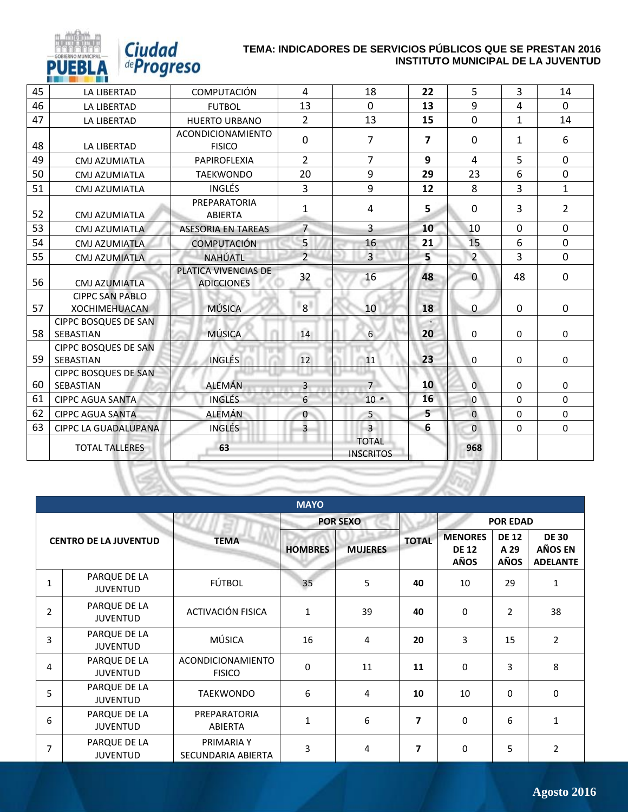| 45 | <b>LA LIBERTAD</b>                             | COMPUTACIÓN                               | 4                 | 18                               | 22                      | 5              | $\overline{3}$ | 14             |
|----|------------------------------------------------|-------------------------------------------|-------------------|----------------------------------|-------------------------|----------------|----------------|----------------|
| 46 | <b>LA LIBERTAD</b>                             | <b>FUTBOL</b>                             | 13                | $\mathbf 0$                      | 13                      | 9              | 4              | $\Omega$       |
| 47 | LA LIBERTAD                                    | <b>HUERTO URBANO</b>                      | $\overline{2}$    | 13                               | 15                      | $\mathbf 0$    | $\mathbf{1}$   | 14             |
| 48 | <b>LA LIBERTAD</b>                             | ACONDICIONAMIENTO<br><b>FISICO</b>        | $\Omega$          | $\overline{7}$                   | $\overline{\mathbf{z}}$ | $\mathbf{0}$   | $\mathbf{1}$   | 6              |
| 49 | CMJ AZUMIATLA                                  | <b>PAPIROFLEXIA</b>                       | $\overline{2}$    | $\overline{7}$                   | 9                       | $\overline{4}$ | 5              | $\mathbf{0}$   |
| 50 | <b>CMJ AZUMIATLA</b>                           | <b>TAEKWONDO</b>                          | 20                | 9                                | 29                      | 23             | 6              | $\mathbf{0}$   |
| 51 | CMJ AZUMIATLA                                  | <b>INGLÉS</b>                             | 3                 | 9                                | 12                      | 8              | $\overline{3}$ | $\mathbf{1}$   |
| 52 | CMJ AZUMIATLA                                  | PREPARATORIA<br>ABIERTA                   | $\mathbf{1}$      | 4                                | 5                       | $\mathbf{0}$   | 3              | $\overline{2}$ |
| 53 | CMJ AZUMIATLA                                  | <b>ASESORIA EN TAREAS</b>                 | $\overline{7}$    | $\overline{3}$                   | 10                      | 10             | $\Omega$       | $\Omega$       |
| 54 | <b>CMJ AZUMIATLA</b>                           | <b>COMPUTACIÓN</b>                        | 5                 | 16                               | 21                      | 15             | 6              | $\mathbf 0$    |
| 55 | <b>CMJ AZUMIATLA</b>                           | NAHÚATL                                   | 2                 | $\overline{3}$                   | 5                       | $\overline{2}$ | 3              | $\mathbf{0}$   |
| 56 | <b>CMJ AZUMIATLA</b>                           | PLATICA VIVENCIAS DE<br><b>ADICCIONES</b> | 32                | 16                               | 48                      | $\overline{0}$ | 48             | $\mathbf{0}$   |
| 57 | <b>CIPPC SAN PABLO</b><br><b>XOCHIMEHUACAN</b> | <b>MÚSICA</b>                             | $\lceil 8 \rceil$ | 10                               | 18                      | $\mathbf 0$    | $\Omega$       | $\mathbf{0}$   |
| 58 | <b>CIPPC BOSQUES DE SAN</b><br>SEBASTIAN       | <b>MÚSICA</b>                             | 14                | $6\overline{6}$                  | 20                      | 0              | $\mathbf{0}$   | $\mathbf 0$    |
| 59 | <b>CIPPC BOSQUES DE SAN</b><br>SEBASTIAN       | <b>INGLÉS</b>                             | 12                | 11                               | 23                      | 0              | $\mathbf{0}$   | $\Omega$       |
| 60 | <b>CIPPC BOSQUES DE SAN</b><br>SEBASTIAN       | <b>ALEMÁN</b>                             | 3                 | 7 <sup>1</sup>                   | 10                      | $\overline{0}$ | $\mathbf{0}$   | $\Omega$       |
| 61 | <b>CIPPC AGUA SANTA</b>                        | <b>INGLÉS</b>                             | 6                 | $10 -$                           | 16                      | $\Omega$       | $\Omega$       | $\Omega$       |
| 62 | <b>CIPPC AGUA SANTA</b>                        | ALEMÁN                                    | 0                 | 5                                | 5                       | $\overline{0}$ | $\Omega$       | $\Omega$       |
| 63 | <b>CIPPC LA GUADALUPANA</b>                    | INGLÉS                                    | $\overline{3}$    | $\overline{3}$                   | 6                       | $\overline{0}$ | $\Omega$       | $\mathbf 0$    |
|    | <b>TOTAL TALLERES</b>                          | 63                                        |                   | <b>TOTAL</b><br><b>INSCRITOS</b> |                         | 968            |                |                |
|    |                                                |                                           |                   |                                  |                         |                |                |                |

*Ciudad*<br>*<i>deProgreso* 

**PUEE** 

| <b>MAYO</b>                  |                                 |                                    |                |                 |              |                                               |                                     |                                            |  |
|------------------------------|---------------------------------|------------------------------------|----------------|-----------------|--------------|-----------------------------------------------|-------------------------------------|--------------------------------------------|--|
|                              |                                 |                                    |                | <b>POR SEXO</b> |              |                                               | <b>POR EDAD</b>                     |                                            |  |
| <b>CENTRO DE LA JUVENTUD</b> |                                 | <b>TEMA</b>                        | <b>HOMBRES</b> | <b>MUJERES</b>  | <b>TOTAL</b> | <b>MENORES</b><br><b>DE 12</b><br><b>AÑOS</b> | <b>DE 12</b><br>A 29<br><b>AÑOS</b> | <b>DE 30</b><br>AÑOS EN<br><b>ADELANTE</b> |  |
| $\mathbf{1}$                 | PARQUE DE LA<br><b>JUVENTUD</b> | FÚTBOL                             | 35             | 5               | 40           | 10                                            | 29                                  | $\mathbf{1}$                               |  |
| $\overline{2}$               | PARQUE DE LA<br><b>JUVENTUD</b> | ACTIVACIÓN FISICA                  | 1              | 39              | 40           | $\mathbf 0$                                   | $\overline{2}$                      | 38                                         |  |
| 3                            | PARQUE DE LA<br><b>JUVENTUD</b> | MÚSICA                             | 16             | 4               | 20           | 3                                             | 15                                  | $\overline{2}$                             |  |
| 4                            | PARQUE DE LA<br><b>JUVENTUD</b> | ACONDICIONAMIENTO<br><b>FISICO</b> | $\mathbf 0$    | 11              | 11           | 0                                             | 3                                   | 8                                          |  |
| 5                            | PARQUE DE LA<br><b>JUVENTUD</b> | <b>TAEKWONDO</b>                   | 6              | 4               | 10           | 10                                            | 0                                   | $\mathbf 0$                                |  |
| 6                            | PARQUE DE LA<br><b>JUVENTUD</b> | PREPARATORIA<br>ABIERTA            | $\mathbf{1}$   | 6               | 7            | 0                                             | 6                                   | $\mathbf{1}$                               |  |
| 7                            | PARQUE DE LA<br><b>JUVENTUD</b> | PRIMARIA Y<br>SECUNDARIA ABIERTA   | 3              | 4               | 7            | $\mathbf 0$                                   | 5                                   | $\overline{2}$                             |  |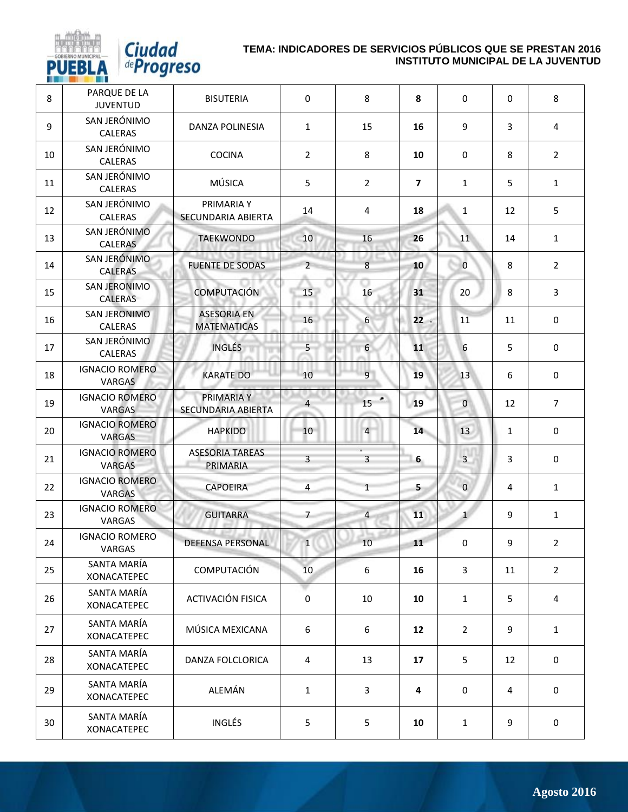

| 8  | PARQUE DE LA<br><b>JUVENTUD</b>        | <b>BISUTERIA</b>                         | $\mathbf 0$      | 8              | 8                       | $\mathbf 0$     | $\Omega$       | 8              |
|----|----------------------------------------|------------------------------------------|------------------|----------------|-------------------------|-----------------|----------------|----------------|
| 9  | SAN JERÓNIMO<br>CALERAS                | DANZA POLINESIA                          | $\mathbf{1}$     | 15             | 16                      | 9               | 3              | 4              |
| 10 | SAN JERÓNIMO<br><b>CALERAS</b>         | <b>COCINA</b>                            | $\overline{2}$   | 8              | 10                      | 0               | 8              | $\overline{2}$ |
| 11 | SAN JERÓNIMO<br><b>CALERAS</b>         | MÚSICA                                   | 5                | $\overline{2}$ | $\overline{\mathbf{z}}$ | $\mathbf{1}$    | 5              | $\mathbf{1}$   |
| 12 | SAN JERÓNIMO<br>CALERAS                | PRIMARIA Y<br><b>SECUNDARIA ABIERTA</b>  | 14               | $\overline{4}$ | 18                      | $\mathbf{1}$    | 12             | 5              |
| 13 | SAN JERÓNIMO<br>CALERAS                | <b>TAEKWONDO</b>                         | 10               | 16             | 26                      | 11              | 14             | $\mathbf{1}$   |
| 14 | SAN JERÓNIMO<br><b>CALERAS</b>         | <b>FUENTE DE SODAS</b>                   | $2^{\circ}$      | $8\phantom{1}$ | 10                      | $\mathbf{0}$    | 8              | $\overline{2}$ |
| 15 | SAN JERONIMO<br><b>CALERAS</b>         | <b>COMPUTACIÓN</b>                       | 15               | 16             | 31                      | 20              | 8              | $\overline{3}$ |
| 16 | <b>SAN JERONIMO</b><br><b>CALERAS</b>  | <b>ASESORIA EN</b><br><b>MATEMATICAS</b> | 16               | 6              | 22                      | 11              | 11             | 0              |
| 17 | SAN JERÓNIMO<br>CALERAS                | <b>INGLÉS</b>                            | 5 <sub>1</sub>   | 6              | 11                      | $6\phantom{1}6$ | 5              | $\mathbf 0$    |
| 18 | <b>IGNACIO ROMERO</b><br>VARGAS        | <b>KARATE DO</b>                         | 10               | $\overline{9}$ | 19                      | 13              | 6              | $\mathbf 0$    |
| 19 | <b>IGNACIO ROMERO</b><br><b>VARGAS</b> | PRIMARIA Y<br>SECUNDARIA ABIERTA         | $\overline{4}$   | ٠<br>15        | 19                      | $\mathbf 0$     | 12             | $\overline{7}$ |
| 20 | <b>IGNACIO ROMERO</b><br><b>VARGAS</b> | <b>HAPKIDO</b>                           | 10 <sup>1</sup>  | $\overline{4}$ | 14                      | 13              | $\mathbf{1}$   | $\mathbf 0$    |
| 21 | <b>IGNACIO ROMERO</b><br><b>VARGAS</b> | <b>ASESORIA TAREAS</b><br>PRIMARIA       | $\overline{3}$   | $\overline{3}$ | 6                       | $\overline{3}$  | 3              | $\mathbf 0$    |
| 22 | <b>IGNACIO ROMERO</b><br>VARGAS        | <b>CAPOEIRA</b>                          | $\overline{4}$   | $\mathbf{1}$   | 5                       | $\pmb{0}$       | $\overline{4}$ | $\mathbf{1}$   |
| 23 | <b>IGNACIO ROMERO</b><br>VARGAS        | <b>GUITARRA</b>                          | $\overline{7}$   | $\overline{4}$ | 11                      | $\mathbf{1}$    | 9              | $\mathbf{1}$   |
| 24 | <b>IGNACIO ROMERO</b><br>VARGAS        | DEFENSA PERSONAL                         | $\mathbf 1$      | 10             | 11                      | $\pmb{0}$       | 9              | $\overline{2}$ |
| 25 | SANTA MARÍA<br><b>XONACATEPEC</b>      | <b>COMPUTACIÓN</b>                       | 10               | 6              | 16                      | $\mathbf{3}$    | 11             | $\overline{2}$ |
| 26 | SANTA MARÍA<br>XONACATEPEC             | ACTIVACIÓN FISICA                        | $\boldsymbol{0}$ | 10             | 10                      | $\mathbf{1}$    | 5              | $\overline{4}$ |
| 27 | SANTA MARÍA<br><b>XONACATEPEC</b>      | MÚSICA MEXICANA                          | 6                | 6              | 12                      | $\overline{2}$  | 9              | $\mathbf{1}$   |
| 28 | SANTA MARÍA<br>XONACATEPEC             | DANZA FOLCLORICA                         | $\overline{4}$   | 13             | 17                      | 5               | 12             | $\mathbf 0$    |
| 29 | SANTA MARÍA<br><b>XONACATEPEC</b>      | ALEMÁN                                   | $\mathbf{1}$     | 3              | 4                       | 0               | $\overline{4}$ | $\mathbf 0$    |
| 30 | SANTA MARÍA<br><b>XONACATEPEC</b>      | INGLÉS                                   | 5                | 5              | 10                      | $\mathbf{1}$    | 9              | $\mathbf 0$    |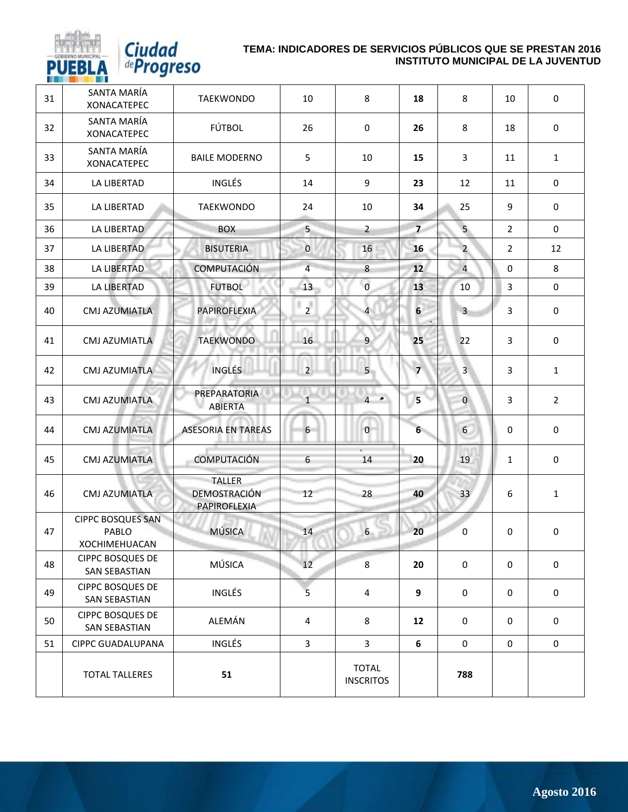

| 31 | SANTA MARÍA<br><b>XONACATEPEC</b>                  | <b>TAEKWONDO</b>                                     | 10             | 8                                | 18               | 8              | 10               | $\mathbf 0$      |
|----|----------------------------------------------------|------------------------------------------------------|----------------|----------------------------------|------------------|----------------|------------------|------------------|
| 32 | SANTA MARÍA<br><b>XONACATEPEC</b>                  | FÚTBOL                                               | 26             | 0                                | 26               | 8              | 18               | $\mathbf 0$      |
| 33 | SANTA MARÍA<br><b>XONACATEPEC</b>                  | <b>BAILE MODERNO</b>                                 | 5              | 10                               | 15               | 3              | 11               | $\mathbf{1}$     |
| 34 | LA LIBERTAD                                        | <b>INGLÉS</b>                                        | 14             | 9                                | 23               | 12             | 11               | 0                |
| 35 | LA LIBERTAD                                        | <b>TAEKWONDO</b>                                     | 24             | 10                               | 34               | 25             | 9                | $\pmb{0}$        |
| 36 | LA LIBERTAD                                        | <b>BOX</b>                                           | 5 <sup>5</sup> | $\overline{2}$                   | $\overline{7}$   | 5 <sub>5</sub> | $\overline{2}$   | $\mathbf 0$      |
| 37 | LA LIBERTAD                                        | <b>BISUTERIA</b>                                     | $\mathbf{0}$   | 16                               | 16               | $\overline{2}$ | 2                | 12               |
| 38 | LA LIBERTAD                                        | <b>COMPUTACIÓN</b>                                   | $\overline{4}$ | 8                                | 12               | $\overline{4}$ | 0                | 8                |
| 39 | LA LIBERTAD                                        | <b>FUTBOL</b>                                        | 13             | $\mathbf 0$                      | 13               | 10             | $\mathbf{3}$     | 0                |
| 40 | <b>CMJ AZUMIATLA</b>                               | PAPIROFLEXIA                                         | $\overline{2}$ | $\overline{4}$                   | $6 \overline{6}$ | $\overline{3}$ | 3                | $\mathbf 0$      |
| 41 | <b>CMJ AZUMIATLA</b>                               | <b>TAEKWONDO</b>                                     | 16             | 9                                | 25               | 22             | 3                | $\boldsymbol{0}$ |
| 42 | CMJ AZUMIATLA                                      | <b>INGLÉS</b>                                        | $\overline{2}$ | 5 <sup>5</sup>                   | $\overline{7}$   | $\overline{3}$ | 3                | $\mathbf{1}$     |
| 43 | <b>CMJ AZUMIATLA</b>                               | PREPARATORIA<br>ABIERTA                              | $\mathbf{1}$   | $4 -$                            | 5                | $\mathbf{0}$   | 3                | $\overline{2}$   |
| 44 | <b>CMJ AZUMIATLA</b>                               | <b>ASESORIA EN TAREAS</b>                            | 6 <sup>1</sup> | $\mathbf{0}$                     | $6 -$            | 6              | 0                | $\mathbf 0$      |
| 45 | <b>CMJ AZUMIATLA</b>                               | COMPUTACIÓN                                          | $6\phantom{1}$ | 14                               | 20               | 19             | $1\,$            | 0                |
| 46 | <b>CMJ AZUMIATLA</b>                               | <b>TALLER</b><br>DEMOSTRACIÓN<br><b>PAPIROFLEXIA</b> | 12             | 28                               | 40               | 33             | 6                | $\mathbf{1}$     |
| 47 | <b>CIPPC BOSQUES SAN</b><br>PABLO<br>XOCHIMEHUACAN | <b>MÚSICA</b>                                        | 14             | 6                                | 20               | 0              | 0                | $\bf{0}$         |
| 48 | <b>CIPPC BOSQUES DE</b><br><b>SAN SEBASTIAN</b>    | MÚSICA                                               | 12             | 8                                | 20               | 0              | $\boldsymbol{0}$ | $\mathbf 0$      |
| 49 | <b>CIPPC BOSQUES DE</b><br><b>SAN SEBASTIAN</b>    | INGLÉS                                               | 5              | $\overline{4}$                   | 9                | $\mathbf 0$    | 0                | 0                |
| 50 | <b>CIPPC BOSQUES DE</b><br><b>SAN SEBASTIAN</b>    | ALEMÁN                                               | 4              | 8                                | 12               | 0              | 0                | $\mathbf 0$      |
| 51 | <b>CIPPC GUADALUPANA</b>                           | <b>INGLÉS</b>                                        | $\mathbf{3}$   | 3                                | 6                | 0              | $\mathbf 0$      | 0                |
|    | <b>TOTAL TALLERES</b>                              | 51                                                   |                | <b>TOTAL</b><br><b>INSCRITOS</b> |                  | 788            |                  |                  |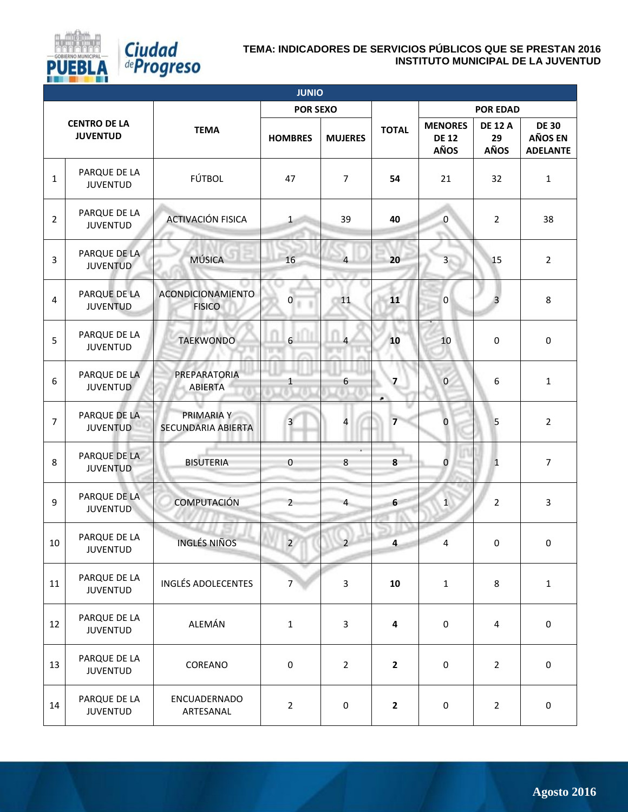

|                | <b>JUNIO</b>                           |                                    |                         |                         |                         |                                        |                                     |                                                   |  |  |  |
|----------------|----------------------------------------|------------------------------------|-------------------------|-------------------------|-------------------------|----------------------------------------|-------------------------------------|---------------------------------------------------|--|--|--|
|                |                                        |                                    | <b>POR SEXO</b>         |                         |                         |                                        | <b>POR EDAD</b>                     |                                                   |  |  |  |
|                | <b>CENTRO DE LA</b><br><b>JUVENTUD</b> | <b>TEMA</b>                        | <b>HOMBRES</b>          | <b>MUJERES</b>          | <b>TOTAL</b>            | <b>MENORES</b><br><b>DE 12</b><br>AÑOS | <b>DE 12 A</b><br>29<br><b>AÑOS</b> | <b>DE 30</b><br><b>AÑOS EN</b><br><b>ADELANTE</b> |  |  |  |
| $\mathbf{1}$   | PARQUE DE LA<br><b>JUVENTUD</b>        | FÚTBOL                             | 47                      | $\overline{7}$          | 54                      | 21                                     | 32                                  | $\mathbf{1}$                                      |  |  |  |
| $\overline{2}$ | PARQUE DE LA<br><b>JUVENTUD</b>        | ACTIVACIÓN FISICA                  | $\mathbf 1$             | 39                      | 40                      | $\overline{0}$                         | $\overline{2}$                      | 38                                                |  |  |  |
| 3              | PARQUE DE LA<br><b>JUVENTUD</b>        | <b>MÚSICA</b>                      | 16                      | $\overline{4}$          | 20                      | $\overline{\mathbf{3}}$                | 15                                  | $\overline{2}$                                    |  |  |  |
| 4              | PARQUE DE LA<br><b>JUVENTUD</b>        | ACONDICIONAMIENTO<br><b>FISICO</b> | $\mathbf{0}$            | 11                      | 11                      | $\boldsymbol{0}$                       | $\overline{3}$                      | 8                                                 |  |  |  |
| 5              | PARQUE DE LA<br><b>JUVENTUD</b>        | <b>TAEKWONDO</b>                   | $6 \overline{6}$        | $\overline{a}$          | 10                      | 10                                     | $\pmb{0}$                           | $\mathbf 0$                                       |  |  |  |
| 6              | PARQUE DE LA<br><b>JUVENTUD</b>        | PREPARATORIA<br>ABIERTA            | $\mathbf{1}$            | 6                       | $\overline{7}$          | $\bf{0}$                               | 6                                   | $\mathbf{1}$                                      |  |  |  |
| $\overline{7}$ | PARQUE DE LA<br><b>JUVENTUD</b>        | PRIMARIA Y<br>SECUNDARIA ABIERTA   | $\overline{\mathbf{3}}$ | $\overline{\mathbf{r}}$ | $\overline{\mathbf{z}}$ | $\pmb{0}$                              | 5                                   | $\overline{2}$                                    |  |  |  |
| 8              | PARQUE DE LA<br><b>JUVENTUD</b>        | <b>BISUTERIA</b>                   | $\pmb{0}$               | $\bf 8$                 | 8                       | $\pmb{0}$                              | $\mathbf{1}$                        | $\overline{7}$                                    |  |  |  |
| 9              | PARQUE DE LA<br><b>JUVENTUD</b>        | COMPUTACIÓN                        | $\overline{2}$          | $\overline{4}$          | $6\overline{6}$         | $\mathbf{1}$                           | $\overline{2}$                      | $\overline{3}$                                    |  |  |  |
| 10             | PARQUE DE LA<br>JUVENTUD               | <b>INGLÉS NIÑOS</b>                | $\overline{2}$          | $\overline{2}$          | 4                       | 4                                      | $\pmb{0}$                           | $\mathbf 0$                                       |  |  |  |
| 11             | PARQUE DE LA<br><b>JUVENTUD</b>        | <b>INGLÉS ADOLECENTES</b>          | $\overline{7}$          | $\overline{3}$          | 10                      | $\mathbf{1}$                           | 8                                   | $\mathbf{1}$                                      |  |  |  |
| 12             | PARQUE DE LA<br><b>JUVENTUD</b>        | ALEMÁN                             | $\mathbf{1}$            | $\overline{3}$          | $\overline{\mathbf{4}}$ | $\boldsymbol{0}$                       | 4                                   | $\mathbf 0$                                       |  |  |  |
| 13             | PARQUE DE LA<br><b>JUVENTUD</b>        | COREANO                            | $\mathbf 0$             | $\overline{2}$          | $\mathbf{2}$            | $\boldsymbol{0}$                       | $\overline{2}$                      | $\mathbf 0$                                       |  |  |  |
| 14             | PARQUE DE LA<br><b>JUVENTUD</b>        | ENCUADERNADO<br>ARTESANAL          | $\overline{2}$          | 0                       | $\mathbf{2}$            | $\boldsymbol{0}$                       | $\overline{2}$                      | $\mathbf 0$                                       |  |  |  |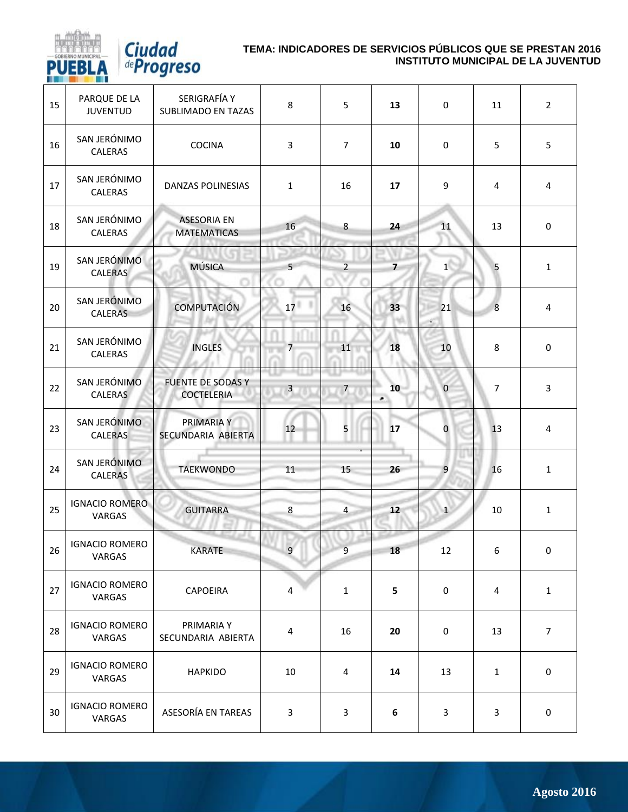

*Ciudad*<br>*deProgreso* 

| 15 | PARQUE DE LA<br><b>JUVENTUD</b> | SERIGRAFÍA Y<br><b>SUBLIMADO EN TAZAS</b>     | 8                       | 5              | 13             | $\mathbf 0$             | 11               | $\overline{2}$ |
|----|---------------------------------|-----------------------------------------------|-------------------------|----------------|----------------|-------------------------|------------------|----------------|
| 16 | SAN JERÓNIMO<br>CALERAS         | <b>COCINA</b>                                 | 3                       | $\overline{7}$ | 10             | $\pmb{0}$               | 5                | 5              |
| 17 | SAN JERÓNIMO<br>CALERAS         | DANZAS POLINESIAS                             | $\mathbf{1}$            | 16             | 17             | 9                       | 4                | 4              |
| 18 | SAN JERÓNIMO<br>CALERAS         | <b>ASESORIA EN</b><br><b>MATEMATICAS</b>      | 16                      | 8              | 24             | 11                      | 13               | $\pmb{0}$      |
| 19 | SAN JERÓNIMO<br>CALERAS         | <b>MÚSICA</b>                                 | 5 <sup>5</sup>          | $\overline{2}$ | $\overline{7}$ | 1                       | 5                | $\mathbf{1}$   |
| 20 | SAN JERÓNIMO<br><b>CALERAS</b>  | <b>COMPUTACIÓN</b>                            | 17 <sup>1</sup>         | 16             | 33             | 21                      | $\boldsymbol{8}$ | 4              |
| 21 | SAN JERÓNIMO<br>CALERAS         | <b>INGLES</b>                                 | $\overline{7}$          | 11             | 18             | 10                      | 8                | $\pmb{0}$      |
| 22 | SAN JERÓNIMO<br><b>CALERAS</b>  | <b>FUENTE DE SODAS Y</b><br><b>COCTELERIA</b> | $\overline{\mathbf{3}}$ | $\overline{7}$ | 10<br>٠        | $\mathbf{0}$            | $\overline{7}$   | $\mathbf{3}$   |
| 23 | SAN JERÓNIMO<br><b>CALERAS</b>  | PRIMARIA Y<br>SECUNDARIA ABIERTA              | 12                      | 5              | 17             | $\overline{\mathbf{0}}$ | 13               | 4              |
| 24 | SAN JERÓNIMO<br><b>CALERAS</b>  | <b>TAEKWONDO</b>                              | 11                      | 15             | 26             | $\overline{9}$          | 16               | $\mathbf{1}$   |
| 25 | <b>IGNACIO ROMERO</b><br>VARGAS | <b>GUITARRA</b>                               | $\bf 8$                 | $\overline{4}$ | 12             | $\mathbf{1}$            | 10               | $\mathbf{1}$   |
| 26 | <b>IGNACIO ROMERO</b><br>VARGAS | <b>KARATE</b>                                 | 9                       | $\overline{9}$ | 18             | 12                      | 6                | 0              |
| 27 | <b>IGNACIO ROMERO</b><br>VARGAS | <b>CAPOEIRA</b>                               | 4                       | $\mathbf{1}$   | 5              | 0                       | 4                | $\mathbf{1}$   |
| 28 | <b>IGNACIO ROMERO</b><br>VARGAS | PRIMARIA Y<br>SECUNDARIA ABIERTA              | 4                       | 16             | 20             | 0                       | 13               | $\overline{7}$ |
| 29 | <b>IGNACIO ROMERO</b><br>VARGAS | <b>HAPKIDO</b>                                | 10                      | 4              | 14             | 13                      | $\mathbf{1}$     | 0              |
| 30 | <b>IGNACIO ROMERO</b><br>VARGAS | ASESORÍA EN TAREAS                            | $\mathbf{3}$            | $\mathbf{3}$   | 6              | $\mathbf{3}$            | 3                | $\pmb{0}$      |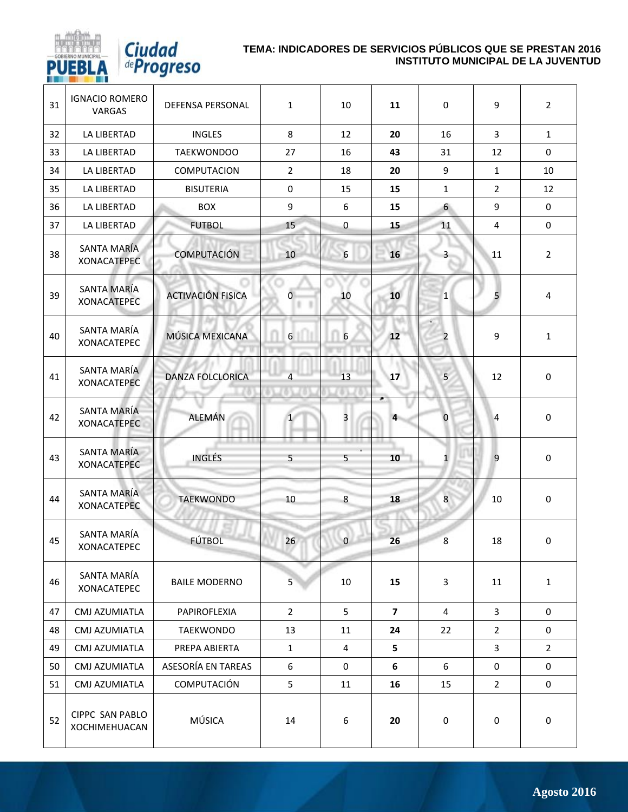

*Ciudad*<br><sup>de</sup>Progreso

| 31 | <b>IGNACIO ROMERO</b><br>VARGAS   | DEFENSA PERSONAL         | $\mathbf{1}$         | 10              | 11                      | $\mathbf 0$      | 9                       | $\overline{2}$ |
|----|-----------------------------------|--------------------------|----------------------|-----------------|-------------------------|------------------|-------------------------|----------------|
| 32 | LA LIBERTAD                       | <b>INGLES</b>            | 8                    | 12              | 20                      | 16               | $\overline{3}$          | $\mathbf{1}$   |
| 33 | LA LIBERTAD                       | <b>TAEKWONDOO</b>        | 27                   | 16              | 43                      | 31               | 12                      | 0              |
| 34 | LA LIBERTAD                       | COMPUTACION              | $\overline{2}$       | 18              | 20                      | 9                | $\mathbf{1}$            | 10             |
| 35 | LA LIBERTAD                       | <b>BISUTERIA</b>         | 0                    | 15              | 15                      | 1                | $\overline{2}$          | 12             |
| 36 | LA LIBERTAD                       | <b>BOX</b>               | 9                    | 6               | 15                      | 6                | 9                       | 0              |
| 37 | LA LIBERTAD                       | <b>FUTBOL</b>            | 15                   | $\pmb{0}$       | 15                      | 11               | $\overline{\mathbf{4}}$ | 0              |
| 38 | SANTA MARÍA<br><b>XONACATEPEC</b> | <b>COMPUTACIÓN</b>       | 10                   | $6\phantom{.}6$ | 16                      | 3                | 11                      | $\overline{2}$ |
| 39 | SANTA MARÍA<br><b>XONACATEPEC</b> | <b>ACTIVACIÓN FISICA</b> | $\overline{O}$<br>lε | 10              | 10                      | $\mathbf{1}$     | 5                       | 4              |
| 40 | SANTA MARÍA<br><b>XONACATEPEC</b> | MÚSICA MEXICANA          | $6 \overline{6}$     | 6               | 12                      | 2                | 9                       | $\mathbf{1}$   |
| 41 | SANTA MARÍA<br><b>XONACATEPEC</b> | DANZA FOLCLORICA         | $\overline{4}$       | 13              | 17                      | 5                | 12                      | $\mathbf 0$    |
| 42 | SANTA MARÍA<br><b>XONACATEPEC</b> | ALEMÁN                   | 1                    | 3               | 4                       | $\bf{0}$         | $\overline{4}$          | 0              |
| 43 | SANTA MARÍA<br><b>XONACATEPEC</b> | <b>INGLÉS</b>            | 5                    | 5               | 10                      | $\mathbf{1}$     | 9                       | $\mathbf 0$    |
| 44 | SANTA MARÍA<br><b>XONACATEPEC</b> | <b>TAEKWONDO</b>         | 10                   | 8               | 18                      | 8                | 10                      | $\mathbf 0$    |
| 45 | SANTA MARÍA<br>XONACATEPEC        | FÚTBOL                   | 26                   | $\mathbf 0$     | 26                      | $\boldsymbol{8}$ | 18                      | 0              |
| 46 | SANTA MARÍA<br><b>XONACATEPEC</b> | <b>BAILE MODERNO</b>     | 5                    | 10              | 15                      | 3                | 11                      | $\mathbf{1}$   |
| 47 | CMJ AZUMIATLA                     | PAPIROFLEXIA             | $\overline{2}$       | 5               | $\overline{\mathbf{z}}$ | 4                | 3                       | 0              |
| 48 | CMJ AZUMIATLA                     | <b>TAEKWONDO</b>         | 13                   | 11              | 24                      | 22               | $\overline{2}$          | 0              |
| 49 | CMJ AZUMIATLA                     | PREPA ABIERTA            | $\mathbf{1}$         | 4               | 5                       |                  | 3                       | $\overline{2}$ |
| 50 | CMJ AZUMIATLA                     | ASESORÍA EN TAREAS       | 6                    | 0               | 6                       | 6                | 0                       | 0              |
| 51 | CMJ AZUMIATLA                     | COMPUTACIÓN              | 5                    | 11              | 16                      | 15               | $\overline{2}$          | 0              |
| 52 | CIPPC SAN PABLO<br>XOCHIMEHUACAN  | MÚSICA                   | 14                   | 6               | 20                      | $\pmb{0}$        | $\pmb{0}$               | $\pmb{0}$      |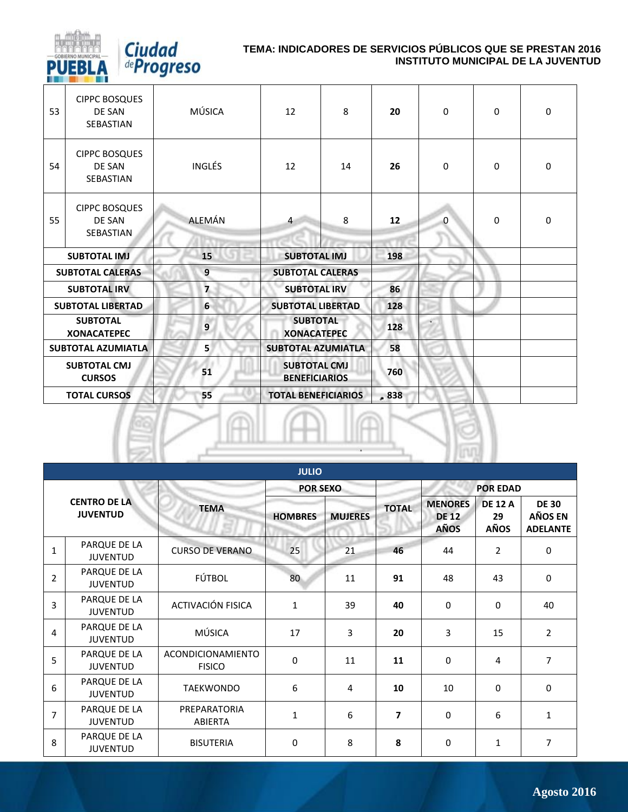

| 53 | <b>CIPPC BOSQUES</b><br>DE SAN<br>SEBASTIAN        | MÚSICA         | 12                                          | 8  | 20   | $\Omega$ | $\Omega$ | 0           |
|----|----------------------------------------------------|----------------|---------------------------------------------|----|------|----------|----------|-------------|
| 54 | <b>CIPPC BOSQUES</b><br>DE SAN<br><b>SEBASTIAN</b> | <b>INGLÉS</b>  | 12                                          | 14 | 26   | $\Omega$ | $\Omega$ | 0           |
| 55 | <b>CIPPC BOSQUES</b><br>DE SAN<br><b>SEBASTIAN</b> | ALEMÁN         | $\overline{4}$                              | 8  | 12   | 0        | 0        | $\mathbf 0$ |
|    | <b>SUBTOTAL IMJ</b>                                | 15             | <b>SUBTOTAL IMJ</b>                         |    | 198  |          |          |             |
|    | <b>SUBTOTAL CALERAS</b>                            | 9              | <b>SUBTOTAL CALERAS</b>                     |    |      |          |          |             |
|    | <b>SUBTOTAL IRV</b>                                | $\overline{ }$ | <b>SUBTOTAL IRV</b>                         |    | 86   |          |          |             |
|    | <b>SUBTOTAL LIBERTAD</b>                           | 6              | <b>SUBTOTAL LIBERTAD</b>                    |    | 128  |          |          |             |
|    | <b>SUBTOTAL</b><br><b>XONACATEPEC</b>              | 9              | <b>SUBTOTAL</b><br><b>XONACATEPEC</b>       |    | 128  |          |          |             |
|    | <b>SUBTOTAL AZUMIATLA</b>                          | 5              | <b>SUBTOTAL AZUMIATLA</b>                   |    | 58   |          |          |             |
|    | <b>SUBTOTAL CMJ</b><br><b>CURSOS</b>               | 51             | <b>SUBTOTAL CMJ</b><br><b>BENEFICIARIOS</b> |    | 760  |          |          |             |
|    | <b>TOTAL CURSOS</b>                                | 55             | <b>TOTAL BENEFICIARIOS</b>                  |    | .838 |          |          |             |



|                                        | <b>JULIO</b>                    |                                    |                 |                |                |                                        |                                     |                                                   |  |  |  |  |  |
|----------------------------------------|---------------------------------|------------------------------------|-----------------|----------------|----------------|----------------------------------------|-------------------------------------|---------------------------------------------------|--|--|--|--|--|
|                                        |                                 |                                    | <b>POR SEXO</b> |                |                |                                        | <b>POR EDAD</b>                     |                                                   |  |  |  |  |  |
| <b>CENTRO DE LA</b><br><b>JUVENTUD</b> |                                 | <b>TEMA</b>                        | <b>HOMBRES</b>  | <b>MUJERES</b> | <b>TOTAL</b>   | <b>MENORES</b><br><b>DE 12</b><br>AÑOS | <b>DE 12 A</b><br>29<br><b>AÑOS</b> | <b>DE 30</b><br><b>AÑOS EN</b><br><b>ADELANTE</b> |  |  |  |  |  |
| $\mathbf{1}$                           | PARQUE DE LA<br><b>JUVENTUD</b> | <b>CURSO DE VERANO</b>             | 25              | 21             | 46             | 44                                     | $\overline{2}$                      | 0                                                 |  |  |  |  |  |
| $\overline{2}$                         | PARQUE DE LA<br><b>JUVENTUD</b> | FÚTBOL                             | 80              | 11             | 91             | 48                                     | 43                                  | $\mathbf 0$                                       |  |  |  |  |  |
| 3                                      | PARQUE DE LA<br><b>JUVENTUD</b> | ACTIVACIÓN FISICA                  | $\mathbf{1}$    | 39             | 40             | $\mathbf 0$                            | $\mathbf 0$                         | 40                                                |  |  |  |  |  |
| $\overline{4}$                         | PARQUE DE LA<br><b>JUVENTUD</b> | <b>MÚSICA</b>                      | 17              | 3              | 20             | 3                                      | 15                                  | $\overline{2}$                                    |  |  |  |  |  |
| 5                                      | PARQUE DE LA<br><b>JUVENTUD</b> | ACONDICIONAMIENTO<br><b>FISICO</b> | 0               | 11             | 11             | $\mathbf 0$                            | $\overline{4}$                      | 7                                                 |  |  |  |  |  |
| 6                                      | PARQUE DE LA<br><b>JUVENTUD</b> | <b>TAEKWONDO</b>                   | 6               | $\overline{4}$ | 10             | 10                                     | $\Omega$                            | $\Omega$                                          |  |  |  |  |  |
| $\overline{7}$                         | PARQUE DE LA<br><b>JUVENTUD</b> | PREPARATORIA<br>ABIERTA            | $\mathbf{1}$    | 6              | $\overline{7}$ | $\Omega$                               | 6                                   | $\mathbf{1}$                                      |  |  |  |  |  |
| 8                                      | PARQUE DE LA<br><b>JUVENTUD</b> | <b>BISUTERIA</b>                   | 0               | 8              | 8              | $\mathbf 0$                            | $\mathbf{1}$                        | $\overline{7}$                                    |  |  |  |  |  |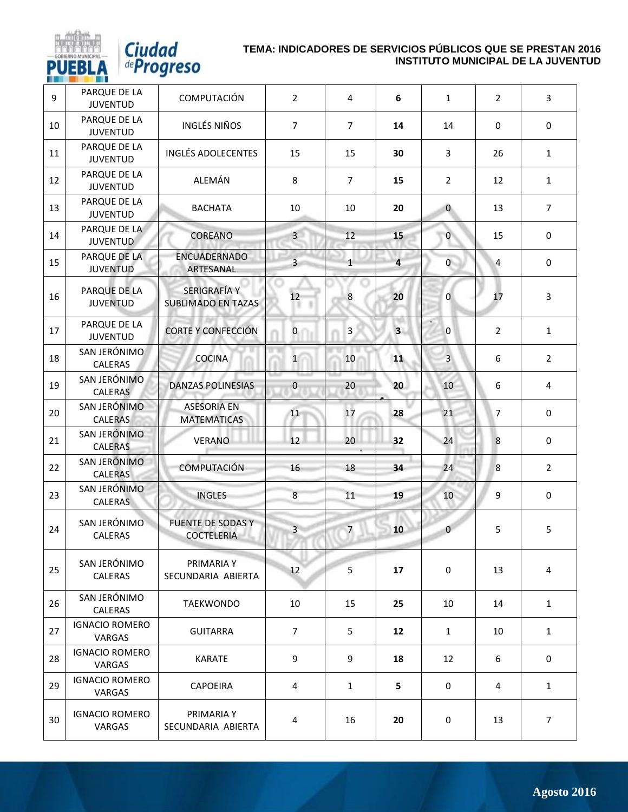

| 9  | PARQUE DE LA<br><b>JUVENTUD</b> | COMPUTACIÓN                                      | $\overline{2}$ | $\overline{4}$ | 6                       | $\mathbf{1}$   | $\overline{2}$ | 3              |
|----|---------------------------------|--------------------------------------------------|----------------|----------------|-------------------------|----------------|----------------|----------------|
| 10 | PARQUE DE LA<br><b>JUVENTUD</b> | <b>INGLÉS NIÑOS</b>                              | $\overline{7}$ | $\overline{7}$ | 14                      | 14             | $\mathbf 0$    | $\mathbf 0$    |
| 11 | PARQUE DE LA<br><b>JUVENTUD</b> | <b>INGLÉS ADOLECENTES</b>                        | 15             | 15             | 30                      | $\overline{3}$ | 26             | $\mathbf{1}$   |
| 12 | PARQUE DE LA<br><b>JUVENTUD</b> | ALEMÁN                                           | 8              | $\overline{7}$ | 15                      | $\overline{2}$ | 12             | $\mathbf{1}$   |
| 13 | PARQUE DE LA<br><b>JUVENTUD</b> | <b>BACHATA</b>                                   | 10             | 10             | 20                      | $\mathbf{0}$   | 13             | $\overline{7}$ |
| 14 | PARQUE DE LA<br><b>JUVENTUD</b> | <b>COREANO</b>                                   | $\overline{3}$ | 12             | 15                      | $\mathbf{0}$   | 15             | $\mathbf 0$    |
| 15 | PARQUE DE LA<br><b>JUVENTUD</b> | ENCUADERNADO<br>ARTESANAL                        | $\overline{3}$ | $\mathbf{1}$   | 4                       | $\mathbf{0}$   | 4              | $\mathbf 0$    |
| 16 | PARQUE DE LA<br><b>JUVENTUD</b> | <b>SERIGRAFÍA Y</b><br><b>SUBLIMADO EN TAZAS</b> | 12             | $\,8\,$        | 20                      | $\Omega$       | 17             | 3              |
| 17 | PARQUE DE LA<br><b>JUVENTUD</b> | <b>CORTE Y CONFECCIÓN</b>                        | $\mathbf{0}$   | 3              | $\overline{\mathbf{3}}$ | $\mathbf{0}$   | $\overline{2}$ | $\mathbf{1}$   |
| 18 | SAN JERÓNIMO<br>CALERAS         | <b>COCINA</b>                                    | $\mathbf{1}$   | 10             | 11                      | $\overline{3}$ | 6              | $\overline{2}$ |
| 19 | SAN JERÓNIMO<br><b>CALERAS</b>  | <b>DANZAS POLINESIAS</b>                         | $\bf{0}$       | 20             | 20 <sup>°</sup>         | 10             | 6              | 4              |
| 20 | SAN JERÓNIMO<br><b>CALERAS</b>  | <b>ASESORIA EN</b><br><b>MATEMATICAS</b>         | 11             | 17             | 28                      | 21             | $\overline{7}$ | $\mathbf 0$    |
| 21 | SAN JERÓNIMO<br><b>CALERAS</b>  | <b>VERANO</b>                                    | 12             | 20             | 32                      | 24             | 8              | $\mathbf 0$    |
| 22 | SAN JERÓNIMO<br><b>CALERAS</b>  | <b>COMPUTACIÓN</b>                               | 16             | 18             | 34                      | 24             | 8              | $\overline{2}$ |
| 23 | SAN JERÓNIMO<br><b>CALERAS</b>  | <b>INGLES</b>                                    | $\overline{8}$ | 11             | 19                      | 10             | 9              | 0              |
| 24 | SAN JERÓNIMO<br>CALERAS         | <b>FUENTE DE SODAS Y</b><br><b>COCTELERIA</b>    | $\overline{3}$ | $\overline{7}$ | 10                      | $\mathbf{0}$   | 5              | 5              |
| 25 | SAN JERÓNIMO<br>CALERAS         | PRIMARIA Y<br>SECUNDARIA ABIERTA                 | 12             | 5              | 17                      | 0              | 13             | 4              |
| 26 | SAN JERÓNIMO<br>CALERAS         | TAEKWONDO                                        | 10             | 15             | 25                      | 10             | 14             | $\mathbf{1}$   |
| 27 | <b>IGNACIO ROMERO</b><br>VARGAS | <b>GUITARRA</b>                                  | $\overline{7}$ | 5              | 12                      | $\mathbf{1}$   | 10             | $\mathbf{1}$   |
| 28 | <b>IGNACIO ROMERO</b><br>VARGAS | <b>KARATE</b>                                    | 9              | 9              | 18                      | 12             | 6              | $\mathbf 0$    |
| 29 | <b>IGNACIO ROMERO</b><br>VARGAS | <b>CAPOEIRA</b>                                  | $\overline{4}$ | $\mathbf{1}$   | 5                       | $\mathbf 0$    | 4              | $\mathbf{1}$   |
| 30 | <b>IGNACIO ROMERO</b><br>VARGAS | PRIMARIA Y<br>SECUNDARIA ABIERTA                 | 4              | 16             | 20                      | 0              | 13             | $\overline{7}$ |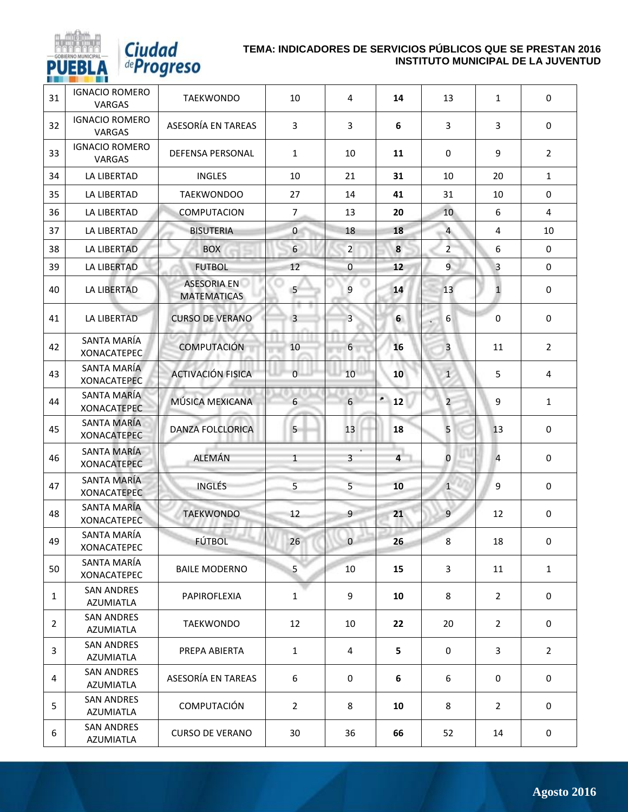

*Ciudad*<br>*deProgreso* 

| 31             | <b>IGNACIO ROMERO</b><br><b>VARGAS</b>   | <b>TAEKWONDO</b>                         | 10             | 4                       | 14                      | 13             | $\mathbf{1}$   | $\mathbf 0$    |
|----------------|------------------------------------------|------------------------------------------|----------------|-------------------------|-------------------------|----------------|----------------|----------------|
| 32             | <b>IGNACIO ROMERO</b><br><b>VARGAS</b>   | ASESORÍA EN TAREAS                       | 3              | 3                       | 6                       | 3              | 3              | $\mathbf 0$    |
| 33             | <b>IGNACIO ROMERO</b><br>VARGAS          | <b>DEFENSA PERSONAL</b>                  | $\mathbf{1}$   | 10                      | 11                      | $\mathbf 0$    | 9              | $\overline{2}$ |
| 34             | <b>LA LIBERTAD</b>                       | <b>INGLES</b>                            | 10             | 21                      | 31                      | 10             | 20             | $\mathbf{1}$   |
| 35             | LA LIBERTAD                              | <b>TAEKWONDOO</b>                        | 27             | 14                      | 41                      | 31             | 10             | $\mathbf 0$    |
| 36             | LA LIBERTAD                              | COMPUTACION                              | $\overline{7}$ | 13                      | 20                      | 10             | 6              | $\overline{4}$ |
| 37             | LA LIBERTAD                              | <b>BISUTERIA</b>                         | $\overline{0}$ | 18                      | 18                      | $\overline{a}$ | $\overline{4}$ | 10             |
| 38             | LA LIBERTAD                              | <b>BOX</b>                               | 6              | $\overline{2}$          | 8                       | $\overline{2}$ | 6              | $\mathbf 0$    |
| 39             | LA LIBERTAD                              | <b>FUTBOL</b>                            | 12             | $\overline{0}$          | 12                      | $\overline{9}$ | 3              | $\mathbf 0$    |
| 40             | LA LIBERTAD                              | <b>ASESORIA EN</b><br><b>MATEMATICAS</b> | 5              | 9                       | 14                      | 13             | $\mathbf{1}$   | $\mathbf 0$    |
| 41             | <b>LA LIBERTAD</b>                       | <b>CURSO DE VERANO</b>                   | $\overline{3}$ | $\overline{3}$          | 6                       | 6              | 0              | 0              |
| 42             | SANTA MARÍA<br><b>XONACATEPEC</b>        | <b>COMPUTACIÓN</b>                       | 10             | 6                       | 16                      | 3              | 11             | $\overline{2}$ |
| 43             | SANTA MARÍA<br><b>XONACATEPEC</b>        | <b>ACTIVACIÓN FISICA</b>                 | $\overline{0}$ | 10                      | 10                      | $\mathbf{1}$   | 5              | 4              |
| 44             | <b>SANTA MARÍA</b><br><b>XONACATEPEC</b> | MÚSICA MEXICANA                          | $6\phantom{a}$ | 6                       | ٠<br>12                 | $\overline{2}$ | 9              | $\mathbf{1}$   |
| 45             | <b>SANTA MARÍA</b><br><b>XONACATEPEC</b> | <b>DANZA FOLCLORICA</b>                  | 5              | 13                      | 18                      | 5              | 13             | $\pmb{0}$      |
| 46             | <b>SANTA MARÍA</b><br><b>XONACATEPEC</b> | <b>ALEMÁN</b>                            | $\mathbf{1}$   | $\overline{\mathbf{3}}$ | $\overline{\mathbf{4}}$ | $\pmb{0}$      | $\overline{4}$ | $\mathbf 0$    |
| 47             | <b>SANTA MARÍA</b><br><b>XONACATEPEC</b> | <b>INGLÉS</b>                            | 5              | 5                       | 10                      | 1              | 9              | $\mathbf 0$    |
| 48             | SANTA MARÍA<br><b>XONACATEPEC</b>        | <b>TAEKWONDO</b>                         | 12             | 9                       | 21                      | $\overline{9}$ | 12             | $\bf{0}$       |
| 49             | SANTA MARÍA<br><b>XONACATEPEC</b>        | <b>FÚTBOL</b>                            | 26             | $\Omega$                | 26                      | 8              | 18             | 0              |
| 50             | SANTA MARÍA<br>XONACATEPEC               | <b>BAILE MODERNO</b>                     | 5              | 10                      | 15                      | 3              | 11             | $\mathbf{1}$   |
| $\mathbf{1}$   | <b>SAN ANDRES</b><br>AZUMIATLA           | PAPIROFLEXIA                             | 1              | 9                       | 10                      | 8              | $\overline{2}$ | 0              |
| $\overline{2}$ | <b>SAN ANDRES</b><br><b>AZUMIATLA</b>    | <b>TAEKWONDO</b>                         | 12             | 10                      | 22                      | 20             | $\overline{2}$ | $\mathbf 0$    |
| 3              | <b>SAN ANDRES</b><br>AZUMIATLA           | PREPA ABIERTA                            | $\mathbf{1}$   | 4                       | 5                       | 0              | 3              | $\overline{2}$ |
| 4              | <b>SAN ANDRES</b><br>AZUMIATLA           | ASESORÍA EN TAREAS                       | 6              | 0                       | 6                       | 6              | $\mathbf 0$    | 0              |
| 5              | <b>SAN ANDRES</b><br>AZUMIATLA           | <b>COMPUTACIÓN</b>                       | $\overline{2}$ | 8                       | 10                      | 8              | $\overline{2}$ | 0              |
| 6              | <b>SAN ANDRES</b><br>AZUMIATLA           | <b>CURSO DE VERANO</b>                   | 30             | 36                      | 66                      | 52             | 14             | 0              |